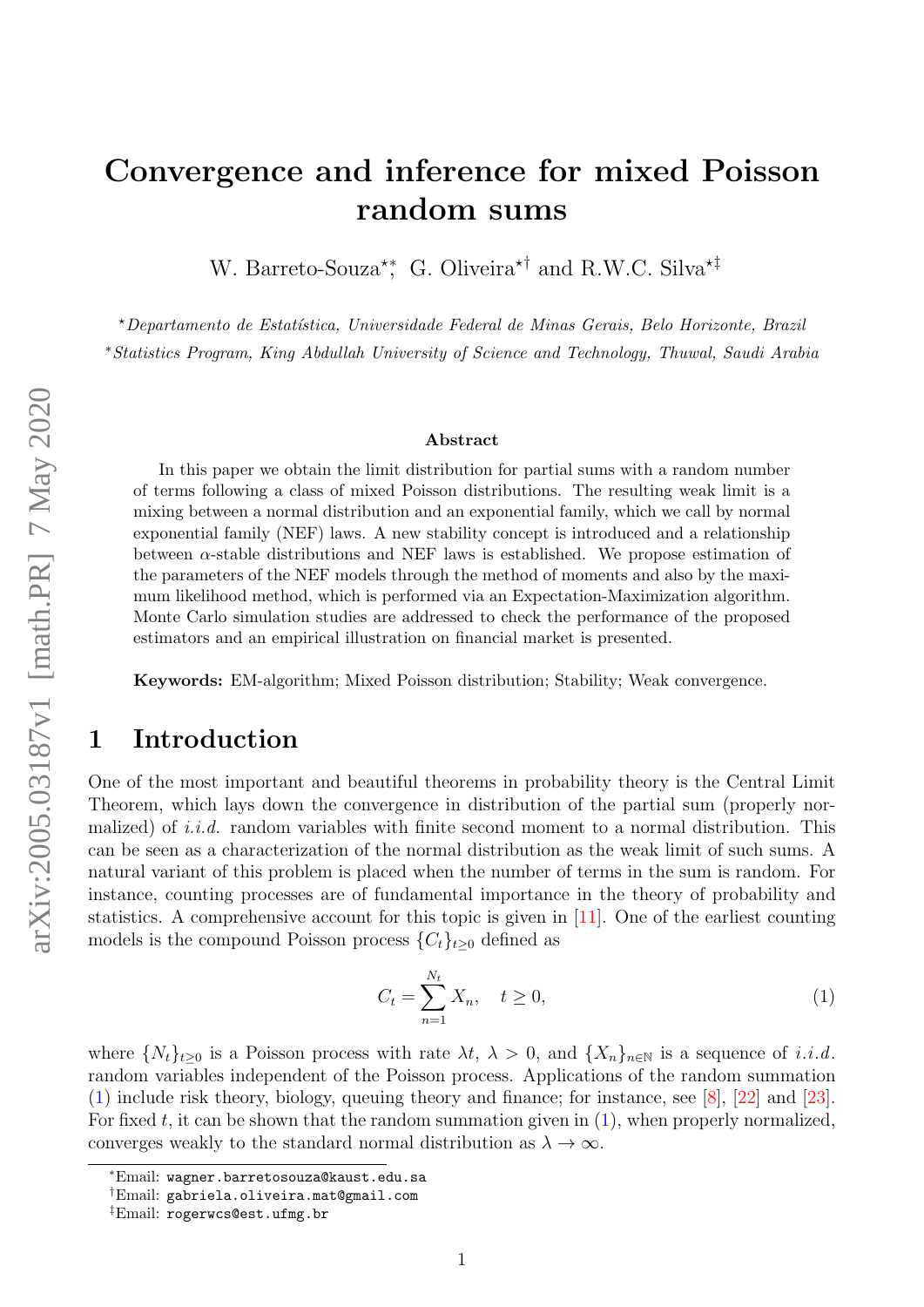# Convergence and inference for mixed Poisson random sums

W. Barreto-Souza<sup>\*\*</sup>, G. Oliveira<sup>\*†</sup> and R.W.C. Silva<sup>\*‡</sup>

?Departamento de Estat´ıstica, Universidade Federal de Minas Gerais, Belo Horizonte, Brazil <sup>∗</sup>Statistics Program, King Abdullah University of Science and Technology, Thuwal, Saudi Arabia

#### Abstract

In this paper we obtain the limit distribution for partial sums with a random number of terms following a class of mixed Poisson distributions. The resulting weak limit is a mixing between a normal distribution and an exponential family, which we call by normal exponential family (NEF) laws. A new stability concept is introduced and a relationship between  $\alpha$ -stable distributions and NEF laws is established. We propose estimation of the parameters of the NEF models through the method of moments and also by the maximum likelihood method, which is performed via an Expectation-Maximization algorithm. Monte Carlo simulation studies are addressed to check the performance of the proposed estimators and an empirical illustration on financial market is presented.

Keywords: EM-algorithm; Mixed Poisson distribution; Stability; Weak convergence.

### 1 Introduction

One of the most important and beautiful theorems in probability theory is the Central Limit Theorem, which lays down the convergence in distribution of the partial sum (properly normalized) of *i.i.d.* random variables with finite second moment to a normal distribution. This can be seen as a characterization of the normal distribution as the weak limit of such sums. A natural variant of this problem is placed when the number of terms in the sum is random. For instance, counting processes are of fundamental importance in the theory of probability and statistics. A comprehensive account for this topic is given in [\[11\]](#page-21-0). One of the earliest counting models is the compound Poisson process  $\{C_t\}_{t\geq0}$  defined as

<span id="page-0-0"></span>
$$
C_t = \sum_{n=1}^{N_t} X_n, \quad t \ge 0,
$$
\n(1)

where  $\{N_t\}_{t\geq0}$  is a Poisson process with rate  $\lambda t$ ,  $\lambda > 0$ , and  $\{X_n\}_{n\in\mathbb{N}}$  is a sequence of i.i.d. random variables independent of the Poisson process. Applications of the random summation [\(1\)](#page-0-0) include risk theory, biology, queuing theory and finance; for instance, see [\[8\]](#page-20-0), [\[22\]](#page-21-1) and [\[23\]](#page-21-2). For fixed t, it can be shown that the random summation given in  $(1)$ , when properly normalized, converges weakly to the standard normal distribution as  $\lambda \to \infty$ .

<sup>∗</sup>Email: wagner.barretosouza@kaust.edu.sa

<sup>†</sup>Email: gabriela.oliveira.mat@gmail.com

<sup>‡</sup>Email: rogerwcs@est.ufmg.br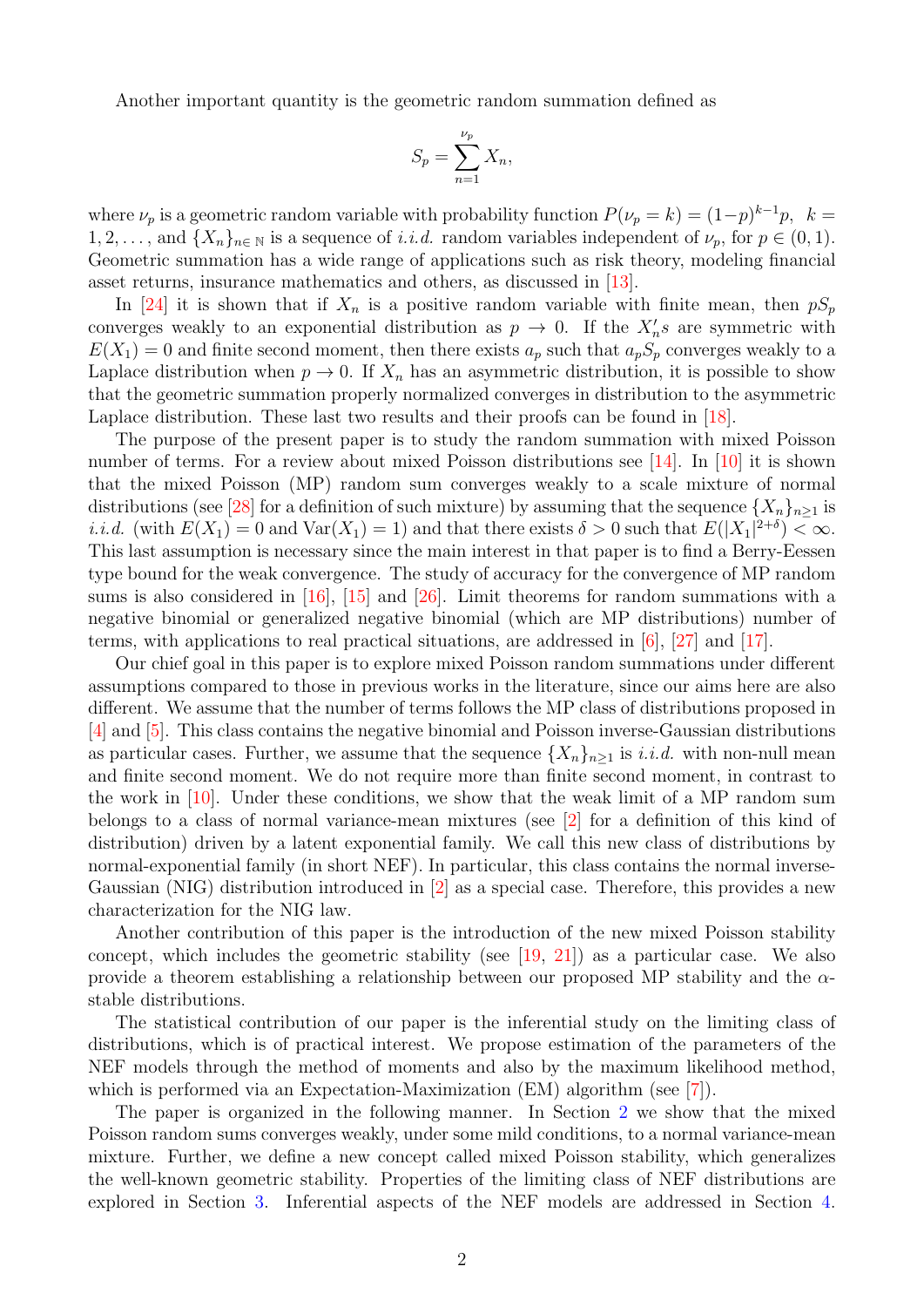Another important quantity is the geometric random summation defined as

$$
S_p = \sum_{n=1}^{\nu_p} X_n,
$$

where  $\nu_p$  is a geometric random variable with probability function  $P(\nu_p = k) = (1-p)^{k-1}p$ ,  $k =$  $1, 2, \ldots$ , and  $\{X_n\}_{n \in \mathbb{N}}$  is a sequence of *i.i.d.* random variables independent of  $\nu_p$ , for  $p \in (0, 1)$ . Geometric summation has a wide range of applications such as risk theory, modeling financial asset returns, insurance mathematics and others, as discussed in [\[13\]](#page-21-3).

In [\[24\]](#page-21-4) it is shown that if  $X_n$  is a positive random variable with finite mean, then  $pS_p$ converges weakly to an exponential distribution as  $p \to 0$ . If the  $X_n$ 's are symmetric with  $E(X_1) = 0$  and finite second moment, then there exists  $a_p$  such that  $a_p S_p$  converges weakly to a Laplace distribution when  $p \to 0$ . If  $X_n$  has an asymmetric distribution, it is possible to show that the geometric summation properly normalized converges in distribution to the asymmetric Laplace distribution. These last two results and their proofs can be found in [\[18\]](#page-21-5).

The purpose of the present paper is to study the random summation with mixed Poisson number of terms. For a review about mixed Poisson distributions see  $[14]$ . In  $[10]$  it is shown that the mixed Poisson (MP) random sum converges weakly to a scale mixture of normal distributions (see [\[28\]](#page-21-8) for a definition of such mixture) by assuming that the sequence  $\{X_n\}_{n\geq 1}$  is *i.i.d.* (with  $E(X_1) = 0$  and  $Var(X_1) = 1$ ) and that there exists  $\delta > 0$  such that  $E(|X_1|^{2+\delta}) < \infty$ . This last assumption is necessary since the main interest in that paper is to find a Berry-Eessen type bound for the weak convergence. The study of accuracy for the convergence of MP random sums is also considered in [\[16\]](#page-21-9), [\[15\]](#page-21-10) and [\[26\]](#page-21-11). Limit theorems for random summations with a negative binomial or generalized negative binomial (which are MP distributions) number of terms, with applications to real practical situations, are addressed in [\[6\]](#page-20-1), [\[27\]](#page-21-12) and [\[17\]](#page-21-13).

Our chief goal in this paper is to explore mixed Poisson random summations under different assumptions compared to those in previous works in the literature, since our aims here are also different. We assume that the number of terms follows the MP class of distributions proposed in [\[4\]](#page-20-2) and [\[5\]](#page-20-3). This class contains the negative binomial and Poisson inverse-Gaussian distributions as particular cases. Further, we assume that the sequence  $\{X_n\}_{n\geq 1}$  is *i.i.d.* with non-null mean and finite second moment. We do not require more than finite second moment, in contrast to the work in [\[10\]](#page-21-7). Under these conditions, we show that the weak limit of a MP random sum belongs to a class of normal variance-mean mixtures (see [\[2\]](#page-20-4) for a definition of this kind of distribution) driven by a latent exponential family. We call this new class of distributions by normal-exponential family (in short NEF). In particular, this class contains the normal inverse-Gaussian (NIG) distribution introduced in [\[2\]](#page-20-4) as a special case. Therefore, this provides a new characterization for the NIG law.

Another contribution of this paper is the introduction of the new mixed Poisson stability concept, which includes the geometric stability (see [\[19,](#page-21-14) [21\]](#page-21-15)) as a particular case. We also provide a theorem establishing a relationship between our proposed MP stability and the  $\alpha$ stable distributions.

The statistical contribution of our paper is the inferential study on the limiting class of distributions, which is of practical interest. We propose estimation of the parameters of the NEF models through the method of moments and also by the maximum likelihood method, which is performed via an Expectation-Maximization (EM) algorithm (see [\[7\]](#page-20-5)).

The paper is organized in the following manner. In Section [2](#page-2-0) we show that the mixed Poisson random sums converges weakly, under some mild conditions, to a normal variance-mean mixture. Further, we define a new concept called mixed Poisson stability, which generalizes the well-known geometric stability. Properties of the limiting class of NEF distributions are explored in Section [3.](#page-7-0) Inferential aspects of the NEF models are addressed in Section [4.](#page-9-0)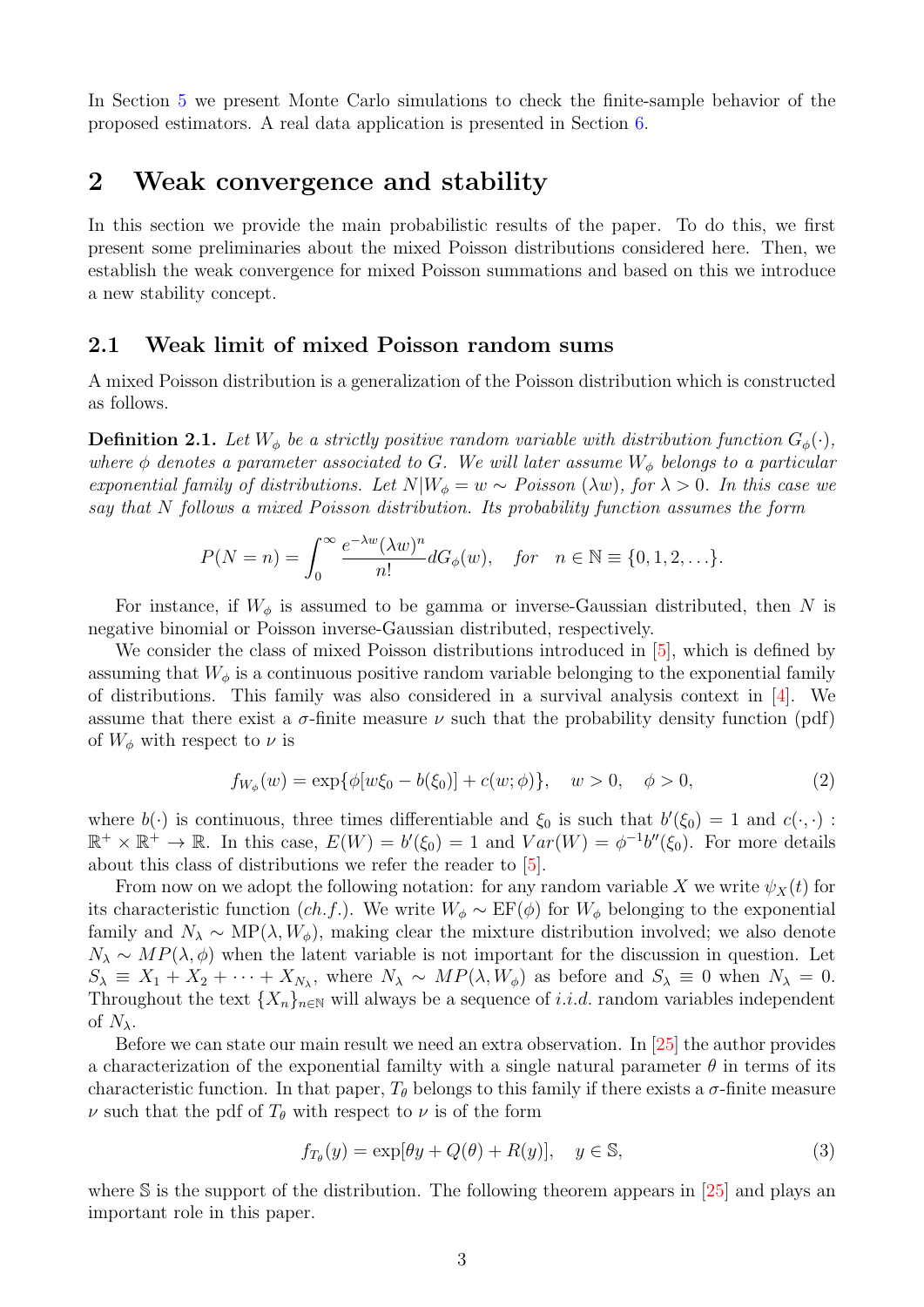In Section [5](#page-15-0) we present Monte Carlo simulations to check the finite-sample behavior of the proposed estimators. A real data application is presented in Section [6.](#page-18-0)

#### <span id="page-2-0"></span>2 Weak convergence and stability

In this section we provide the main probabilistic results of the paper. To do this, we first present some preliminaries about the mixed Poisson distributions considered here. Then, we establish the weak convergence for mixed Poisson summations and based on this we introduce a new stability concept.

#### 2.1 Weak limit of mixed Poisson random sums

A mixed Poisson distribution is a generalization of the Poisson distribution which is constructed as follows.

**Definition 2.1.** Let  $W_{\phi}$  be a strictly positive random variable with distribution function  $G_{\phi}(\cdot)$ , where  $\phi$  denotes a parameter associated to G. We will later assume  $W_{\phi}$  belongs to a particular exponential family of distributions. Let  $N|W_{\phi} = w \sim Poisson(\lambda w)$ , for  $\lambda > 0$ . In this case we say that N follows a mixed Poisson distribution. Its probability function assumes the form

$$
P(N = n) = \int_0^\infty \frac{e^{-\lambda w} (\lambda w)^n}{n!} dG_\phi(w), \quad \text{for} \quad n \in \mathbb{N} \equiv \{0, 1, 2, \ldots\}.
$$

For instance, if  $W_{\phi}$  is assumed to be gamma or inverse-Gaussian distributed, then N is negative binomial or Poisson inverse-Gaussian distributed, respectively.

We consider the class of mixed Poisson distributions introduced in [\[5\]](#page-20-3), which is defined by assuming that  $W_{\phi}$  is a continuous positive random variable belonging to the exponential family of distributions. This family was also considered in a survival analysis context in [\[4\]](#page-20-2). We assume that there exist a  $\sigma$ -finite measure  $\nu$  such that the probability density function (pdf) of  $W_{\phi}$  with respect to  $\nu$  is

<span id="page-2-2"></span>
$$
f_{W_{\phi}}(w) = \exp\{\phi[w\xi_0 - b(\xi_0)] + c(w;\phi)\}, \quad w > 0, \quad \phi > 0,
$$
\n(2)

where  $b(\cdot)$  is continuous, three times differentiable and  $\xi_0$  is such that  $b'(\xi_0) = 1$  and  $c(\cdot, \cdot)$ :  $\mathbb{R}^+ \times \mathbb{R}^+ \to \mathbb{R}$ . In this case,  $E(W) = b'(\xi_0) = 1$  and  $Var(W) = \phi^{-1}b''(\xi_0)$ . For more details about this class of distributions we refer the reader to [\[5\]](#page-20-3).

From now on we adopt the following notation: for any random variable X we write  $\psi_X(t)$  for its characteristic function (ch.f.). We write  $W_{\phi} \sim \text{EF}(\phi)$  for  $W_{\phi}$  belonging to the exponential family and  $N_{\lambda} \sim \text{MP}(\lambda, W_{\phi})$ , making clear the mixture distribution involved; we also denote  $N_{\lambda} \sim MP(\lambda, \phi)$  when the latent variable is not important for the discussion in question. Let  $S_{\lambda} \equiv X_1 + X_2 + \cdots + X_{N_{\lambda}}$ , where  $N_{\lambda} \sim MP(\lambda, W_{\phi})$  as before and  $S_{\lambda} \equiv 0$  when  $N_{\lambda} = 0$ . Throughout the text  $\{X_n\}_{n\in\mathbb{N}}$  will always be a sequence of *i.i.d.* random variables independent of  $N_{\lambda}$ .

Before we can state our main result we need an extra observation. In [\[25\]](#page-21-16) the author provides a characterization of the exponential familty with a single natural parameter  $\theta$  in terms of its characteristic function. In that paper,  $T_{\theta}$  belongs to this family if there exists a  $\sigma$ -finite measure  $\nu$  such that the pdf of  $T_{\theta}$  with respect to  $\nu$  is of the form

<span id="page-2-1"></span>
$$
f_{T_{\theta}}(y) = \exp[\theta y + Q(\theta) + R(y)], \quad y \in \mathbb{S}, \tag{3}
$$

where  $\mathbb S$  is the support of the distribution. The following theorem appears in [\[25\]](#page-21-16) and plays an important role in this paper.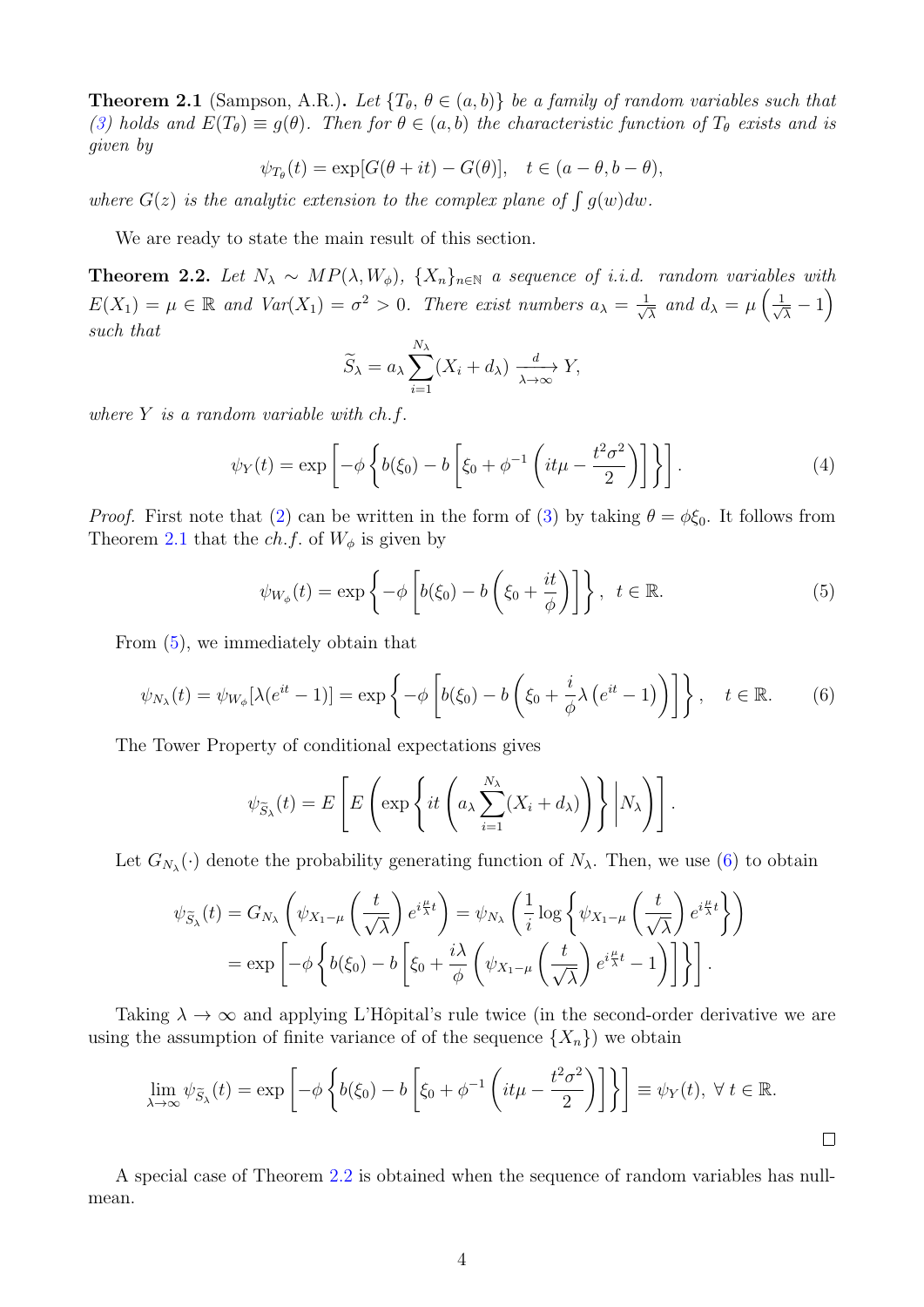<span id="page-3-0"></span>**Theorem 2.1** (Sampson, A.R.). Let  $\{T_{\theta}, \theta \in (a, b)\}\)$  be a family of random variables such that [\(3\)](#page-2-1) holds and  $E(T_{\theta}) \equiv g(\theta)$ . Then for  $\theta \in (a, b)$  the characteristic function of  $T_{\theta}$  exists and is given by

$$
\psi_{T_{\theta}}(t) = \exp[G(\theta + it) - G(\theta)], \quad t \in (a - \theta, b - \theta),
$$

where  $G(z)$  is the analytic extension to the complex plane of  $\int g(w)dw$ .

We are ready to state the main result of this section.

<span id="page-3-3"></span>**Theorem 2.2.** Let  $N_{\lambda} \sim MP(\lambda, W_{\phi})$ ,  $\{X_n\}_{n\in\mathbb{N}}$  a sequence of i.i.d. random variables with  $E(X_1) = \mu \in \mathbb{R}$  and  $Var(X_1) = \sigma^2 > 0$ . There exist numbers  $a_{\lambda} = \frac{1}{\sqrt{\lambda}}$  $\frac{1}{\overline{\lambda}}$  and  $d_{\lambda} = \mu \left( \frac{1}{\sqrt{2}} \right)$  $\frac{1}{\overline{\lambda}}-1\Big)$ such that

<span id="page-3-4"></span>
$$
\widetilde{S}_{\lambda} = a_{\lambda} \sum_{i=1}^{N_{\lambda}} (X_i + d_{\lambda}) \xrightarrow[\lambda \to \infty]{d} Y,
$$

where  $Y$  is a random variable with  $ch.f.$ 

$$
\psi_Y(t) = \exp\left[-\phi \left\{ b(\xi_0) - b \left[ \xi_0 + \phi^{-1} \left( it\mu - \frac{t^2 \sigma^2}{2} \right) \right] \right\} \right].
$$
 (4)

*Proof.* First note that [\(2\)](#page-2-2) can be written in the form of [\(3\)](#page-2-1) by taking  $\theta = \phi \xi_0$ . It follows from Theorem [2.1](#page-3-0) that the *ch.f.* of  $W_{\phi}$  is given by

<span id="page-3-2"></span><span id="page-3-1"></span>
$$
\psi_{W_{\phi}}(t) = \exp\left\{-\phi \left[b(\xi_0) - b\left(\xi_0 + \frac{it}{\phi}\right)\right]\right\}, \ t \in \mathbb{R}.
$$
 (5)

From [\(5\)](#page-3-1), we immediately obtain that

$$
\psi_{N_{\lambda}}(t) = \psi_{W_{\phi}}[\lambda(e^{it} - 1)] = \exp\left\{-\phi\left[b(\xi_0) - b\left(\xi_0 + \frac{i}{\phi}\lambda\left(e^{it} - 1\right)\right)\right]\right\}, \quad t \in \mathbb{R}.
$$
 (6)

The Tower Property of conditional expectations gives

$$
\psi_{\widetilde{S}_{\lambda}}(t) = E\left[E\left(\exp\left\{it\left(a_{\lambda}\sum_{i=1}^{N_{\lambda}}(X_i + d_{\lambda})\right)\right\} \middle| N_{\lambda}\right)\right].
$$

Let  $G_{N_{\lambda}}(\cdot)$  denote the probability generating function of  $N_{\lambda}$ . Then, we use [\(6\)](#page-3-2) to obtain

$$
\psi_{\widetilde{S}_{\lambda}}(t) = G_{N_{\lambda}}\left(\psi_{X_{1}-\mu}\left(\frac{t}{\sqrt{\lambda}}\right)e^{i\frac{\mu}{\lambda}t}\right) = \psi_{N_{\lambda}}\left(\frac{1}{i}\log\left\{\psi_{X_{1}-\mu}\left(\frac{t}{\sqrt{\lambda}}\right)e^{i\frac{\mu}{\lambda}t}\right\}\right)
$$

$$
= \exp\left[-\phi\left\{b(\xi_{0}) - b\left[\xi_{0} + \frac{i\lambda}{\phi}\left(\psi_{X_{1}-\mu}\left(\frac{t}{\sqrt{\lambda}}\right)e^{i\frac{\mu}{\lambda}t} - 1\right)\right]\right\}\right].
$$

Taking  $\lambda \to \infty$  and applying L'Hôpital's rule twice (in the second-order derivative we are using the assumption of finite variance of of the sequence  $\{X_n\}$  we obtain

$$
\lim_{\lambda \to \infty} \psi_{\tilde{S}_{\lambda}}(t) = \exp \left[ -\phi \left\{ b(\xi_0) - b \left[ \xi_0 + \phi^{-1} \left( it\mu - \frac{t^2 \sigma^2}{2} \right) \right] \right\} \right] \equiv \psi_Y(t), \ \forall \ t \in \mathbb{R}.
$$

A special case of Theorem [2.2](#page-3-3) is obtained when the sequence of random variables has nullmean.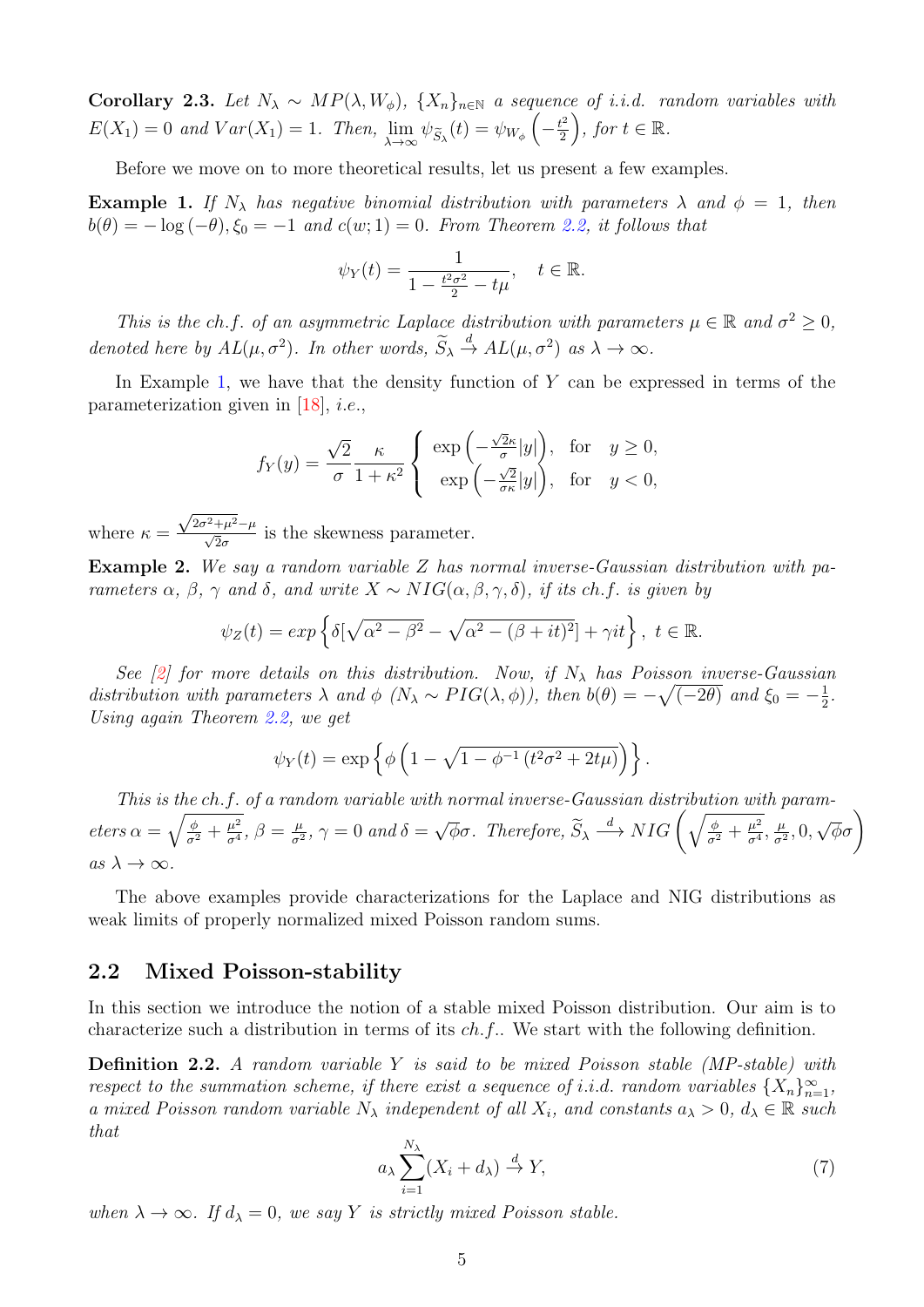Corollary 2.3. Let  $N_{\lambda} \sim MP(\lambda, W_{\phi})$ ,  $\{X_n\}_{n\in \mathbb{N}}$  a sequence of i.i.d. random variables with  $E(X_1) = 0$  and  $Var(X_1) = 1$ . Then,  $\lim_{\lambda \to \infty} \psi_{\widetilde{S}_{\lambda}}(t) = \psi_{W_{\phi}}\left(-\frac{t^2}{2}\right)$  $\left(\frac{t^2}{2}\right)$ , for  $t \in \mathbb{R}$ .

Before we move on to more theoretical results, let us present a few examples.

<span id="page-4-0"></span>**Example 1.** If  $N_{\lambda}$  has negative binomial distribution with parameters  $\lambda$  and  $\phi = 1$ , then  $b(\theta) = -\log(-\theta), \xi_0 = -1$  and  $c(w; 1) = 0$ . From Theorem [2.2,](#page-3-3) it follows that

$$
\psi_Y(t) = \frac{1}{1 - \frac{t^2 \sigma^2}{2} - t\mu}, \quad t \in \mathbb{R}.
$$

This is the ch.f. of an asymmetric Laplace distribution with parameters  $\mu \in \mathbb{R}$  and  $\sigma^2 \geq 0$ , denoted here by  $AL(\mu, \sigma^2)$ . In other words,  $\widetilde{S}_\lambda \stackrel{d}{\rightarrow} AL(\mu, \sigma^2)$  as  $\lambda \rightarrow \infty$ .

In Example [1,](#page-4-0) we have that the density function of  $Y$  can be expressed in terms of the parameterization given in  $[18]$ , *i.e.*,

$$
f_Y(y)=\frac{\sqrt{2}}{\sigma}\frac{\kappa}{1+\kappa^2}\left\{\begin{array}{l} \exp\left(-\frac{\sqrt{2}\kappa}{\sigma}|y|\right), \ \text{ for } \ \ y\geq 0, \\ \exp\left(-\frac{\sqrt{2}}{\sigma\kappa}|y|\right), \ \text{ for } \ \ y<0, \end{array}\right.
$$

where  $\kappa =$  $\frac{\sqrt{2\sigma^2+\mu^2}-\mu}{\sqrt{2}\sigma}$  is the skewness parameter.

Example 2. We say a random variable Z has normal inverse-Gaussian distribution with parameters  $\alpha$ ,  $\beta$ ,  $\gamma$  and  $\delta$ , and write  $X \sim NIG(\alpha, \beta, \gamma, \delta)$ , if its ch.f. is given by

$$
\psi_Z(t) = \exp\left\{\delta[\sqrt{\alpha^2 - \beta^2} - \sqrt{\alpha^2 - (\beta + it)^2}] + \gamma it\right\}, \ t \in \mathbb{R}.
$$

See [\[2\]](#page-20-4) for more details on this distribution. Now, if  $N_{\lambda}$  has Poisson inverse-Gaussian distribution with parameters  $\lambda$  and  $\phi$  ( $N_\lambda \sim PIG(\lambda, \phi)$ ), then  $b(\theta) = -\sqrt{(-2\theta)}$  and  $\xi_0 = -\frac{1}{2}$  $rac{1}{2}$ . Using again Theorem [2.2,](#page-3-3) we get

$$
\psi_Y(t) = \exp\left\{\phi\left(1 - \sqrt{1 - \phi^{-1}(t^2\sigma^2 + 2t\mu)}\right)\right\}.
$$

This is the ch.f. of a random variable with normal inverse-Gaussian distribution with param $eters \alpha = \sqrt{\frac{\phi}{\sigma^2} + \frac{\mu^2}{\sigma^4}}$  $\frac{\mu^2}{\sigma^4},\,\beta=\frac{\mu}{\sigma^2}$  $\frac{\mu}{\sigma^2}$ ,  $\gamma = 0$  and  $\delta =$ √  $\overline{\phi}\sigma$ . Therefore,  $\widetilde{S}_{\lambda} \stackrel{d}{\longrightarrow} NIG\left(\sqrt{\frac{\phi}{\sigma^2} + \frac{\mu^2}{\sigma^4}}\right)$  $\frac{\mu^2}{\sigma^4}, \frac{\mu}{\sigma^2}$  $\frac{\mu}{\sigma^2}$ , 0,  $\sqrt{\phi}\sigma$ as  $\lambda \to \infty$ .

The above examples provide characterizations for the Laplace and NIG distributions as weak limits of properly normalized mixed Poisson random sums.

#### 2.2 Mixed Poisson-stability

In this section we introduce the notion of a stable mixed Poisson distribution. Our aim is to characterize such a distribution in terms of its  $ch.f$ . We start with the following definition.

<span id="page-4-1"></span>Definition 2.2. A random variable Y is said to be mixed Poisson stable (MP-stable) with respect to the summation scheme, if there exist a sequence of i.i.d. random variables  $\{X_n\}_{n=1}^{\infty}$ , a mixed Poisson random variable  $N_\lambda$  independent of all  $X_i$ , and constants  $a_\lambda > 0$ ,  $d_\lambda \in \mathbb{R}$  such that

<span id="page-4-2"></span>
$$
a_{\lambda} \sum_{i=1}^{N_{\lambda}} (X_i + d_{\lambda}) \stackrel{d}{\to} Y,
$$
 (7)

when  $\lambda \to \infty$ . If  $d_{\lambda} = 0$ , we say Y is strictly mixed Poisson stable.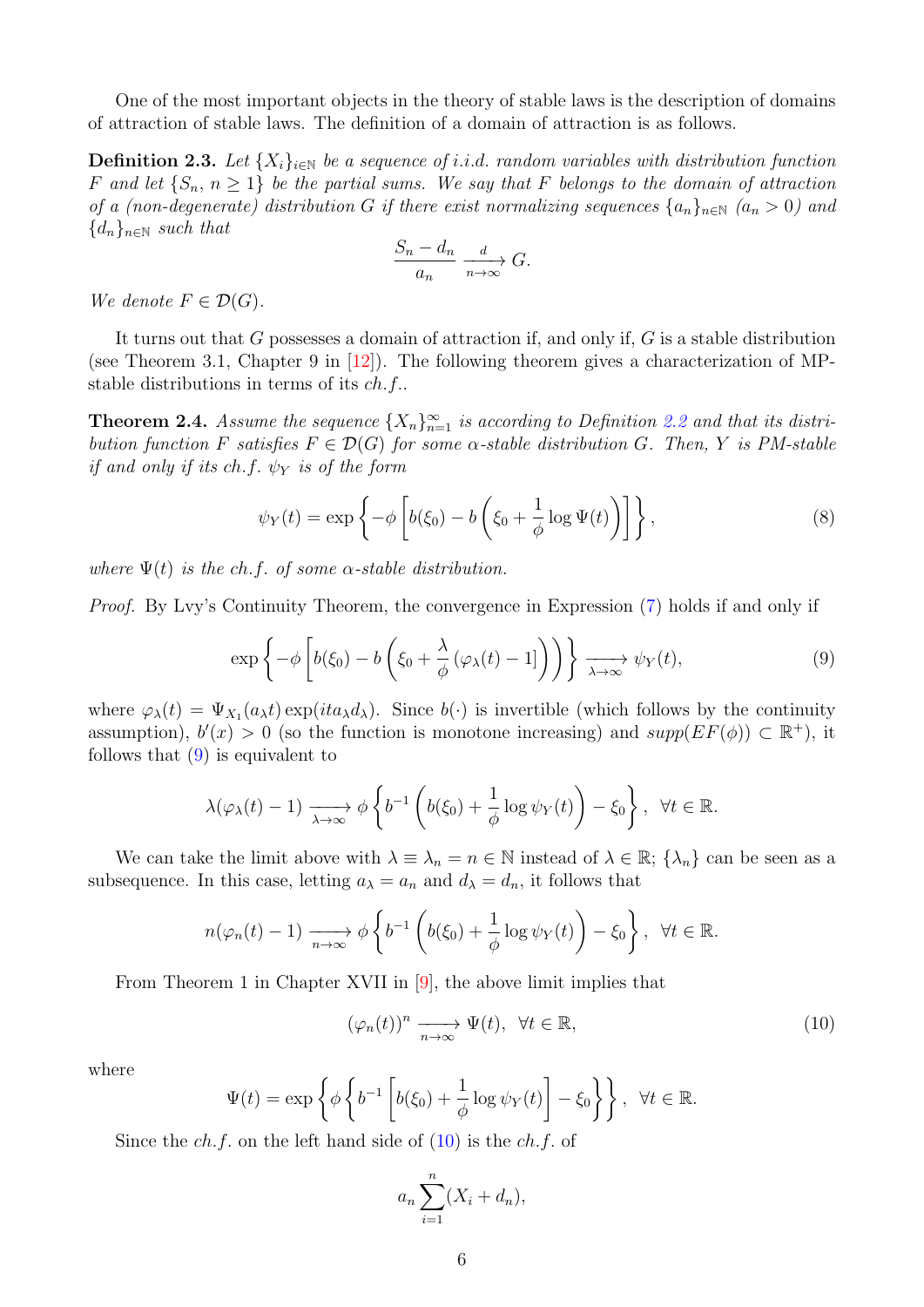One of the most important objects in the theory of stable laws is the description of domains of attraction of stable laws. The definition of a domain of attraction is as follows.

**Definition 2.3.** Let  $\{X_i\}_{i\in\mathbb{N}}$  be a sequence of i.i.d. random variables with distribution function F and let  $\{S_n, n \geq 1\}$  be the partial sums. We say that F belongs to the domain of attraction of a (non-degenerate) distribution G if there exist normalizing sequences  $\{a_n\}_{n\in\mathbb{N}}$   $(a_n > 0)$  and  ${d_n}_{n\in\mathbb{N}}$  such that

<span id="page-5-2"></span>
$$
\frac{S_n - d_n}{a_n} \xrightarrow[n \to \infty]{} G.
$$

We denote  $F \in \mathcal{D}(G)$ .

It turns out that G possesses a domain of attraction if, and only if, G is a stable distribution (see Theorem 3.1, Chapter 9 in [\[12\]](#page-21-17)). The following theorem gives a characterization of MPstable distributions in terms of its ch.f..

<span id="page-5-3"></span>**Theorem 2.4.** Assume the sequence  $\{X_n\}_{n=1}^{\infty}$  is according to Definition [2.2](#page-4-1) and that its distribution function F satisfies  $F \in \mathcal{D}(G)$  for some  $\alpha$ -stable distribution G. Then, Y is PM-stable if and only if its ch.f.  $\psi_Y$  is of the form

<span id="page-5-0"></span>
$$
\psi_Y(t) = \exp\left\{-\phi \left[b(\xi_0) - b\left(\xi_0 + \frac{1}{\phi}\log\Psi(t)\right)\right]\right\},\tag{8}
$$

where  $\Psi(t)$  is the ch.f. of some  $\alpha$ -stable distribution.

Proof. By Lvy's Continuity Theorem, the convergence in Expression [\(7\)](#page-4-2) holds if and only if

$$
\exp\left\{-\phi\left[b(\xi_0)-b\left(\xi_0+\frac{\lambda}{\phi}\left(\varphi_\lambda(t)-1\right]\right)\right)\right\}\xrightarrow[\lambda\to\infty]{}\psi_Y(t),\tag{9}
$$

where  $\varphi_{\lambda}(t) = \Psi_{X_1}(a_{\lambda}t) \exp(ita_{\lambda}d_{\lambda})$ . Since  $b(\cdot)$  is invertible (which follows by the continuity assumption),  $b'(x) > 0$  (so the function is monotone increasing) and  $supp(EF(\phi)) \subset \mathbb{R}^+$ ), it follows that  $(9)$  is equivalent to

$$
\lambda(\varphi_{\lambda}(t)-1) \xrightarrow[\lambda \to \infty]{} \phi \left\{ b^{-1} \left( b(\xi_0) + \frac{1}{\phi} \log \psi_Y(t) \right) - \xi_0 \right\}, \ \ \forall t \in \mathbb{R}.
$$

We can take the limit above with  $\lambda \equiv \lambda_n = n \in \mathbb{N}$  instead of  $\lambda \in \mathbb{R}$ ;  $\{\lambda_n\}$  can be seen as a subsequence. In this case, letting  $a_{\lambda} = a_n$  and  $d_{\lambda} = d_n$ , it follows that

$$
n(\varphi_n(t)-1) \xrightarrow[n \to \infty]{} \phi \left\{ b^{-1} \left( b(\xi_0) + \frac{1}{\phi} \log \psi_Y(t) \right) - \xi_0 \right\}, \ \ \forall t \in \mathbb{R}.
$$

From Theorem 1 in Chapter XVII in [\[9\]](#page-20-6), the above limit implies that

<span id="page-5-1"></span>
$$
(\varphi_n(t))^n \xrightarrow[n \to \infty]{} \Psi(t), \ \forall t \in \mathbb{R}, \tag{10}
$$

where

$$
\Psi(t) = \exp\left\{\phi\left\{b^{-1}\left[b(\xi_0) + \frac{1}{\phi}\log\psi_Y(t)\right] - \xi_0\right\}\right\}, \ \ \forall t \in \mathbb{R}.
$$

Since the  $ch.f.$  on the left hand side of  $(10)$  is the  $ch.f.$  of

$$
a_n\sum_{i=1}^n(X_i+d_n),
$$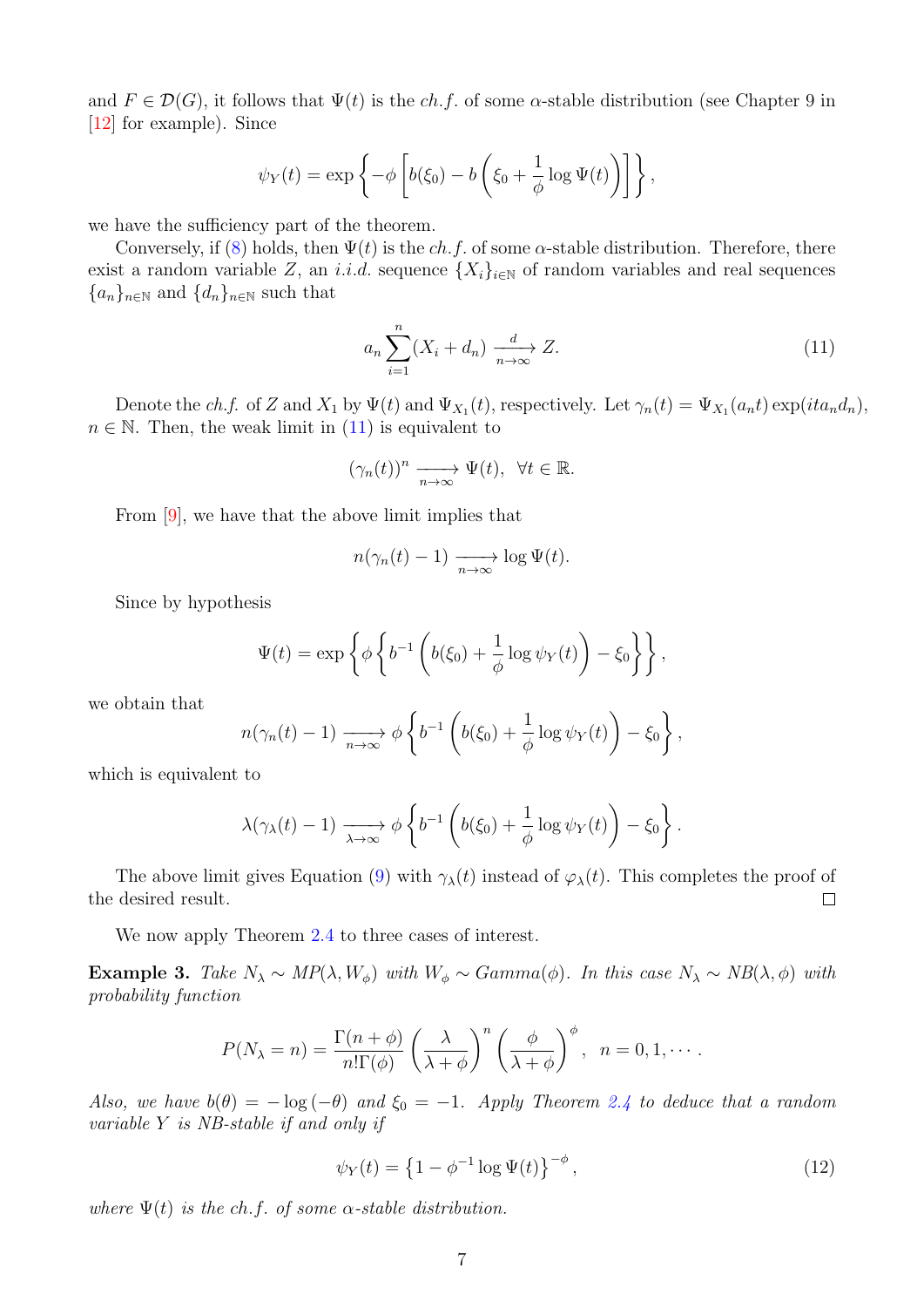and  $F \in \mathcal{D}(G)$ , it follows that  $\Psi(t)$  is the ch.f. of some  $\alpha$ -stable distribution (see Chapter 9 in [\[12\]](#page-21-17) for example). Since

$$
\psi_Y(t) = \exp\left\{-\phi\left[b(\xi_0) - b\left(\xi_0 + \frac{1}{\phi}\log\Psi(t)\right)\right]\right\},\,
$$

we have the sufficiency part of the theorem.

Conversely, if [\(8\)](#page-5-2) holds, then  $\Psi(t)$  is the ch.f. of some  $\alpha$ -stable distribution. Therefore, there exist a random variable Z, an i.i.d. sequence  $\{X_i\}_{i\in\mathbb{N}}$  of random variables and real sequences  ${a_n}_{n\in\mathbb{N}}$  and  ${d_n}_{n\in\mathbb{N}}$  such that

<span id="page-6-0"></span>
$$
a_n \sum_{i=1}^n (X_i + d_n) \xrightarrow[n \to \infty]{d} Z.
$$
\n(11)

Denote the ch.f. of Z and  $X_1$  by  $\Psi(t)$  and  $\Psi_{X_1}(t)$ , respectively. Let  $\gamma_n(t) = \Psi_{X_1}(a_n t) \exp(it a_n d_n)$ ,  $n \in \mathbb{N}$ . Then, the weak limit in [\(11\)](#page-6-0) is equivalent to

$$
(\gamma_n(t))^n \xrightarrow[n \to \infty]{} \Psi(t), \ \ \forall t \in \mathbb{R}.
$$

From [\[9\]](#page-20-6), we have that the above limit implies that

$$
n(\gamma_n(t)-1) \xrightarrow[n \to \infty]{} \log \Psi(t).
$$

Since by hypothesis

$$
\Psi(t) = \exp\left\{\phi \left\{b^{-1}\left(b(\xi_0) + \frac{1}{\phi}\log\psi_Y(t)\right) - \xi_0\right\}\right\},\
$$

we obtain that

$$
n(\gamma_n(t)-1) \xrightarrow[n \to \infty]{} \phi \left\{ b^{-1} \left( b(\xi_0) + \frac{1}{\phi} \log \psi_Y(t) \right) - \xi_0 \right\},\,
$$

which is equivalent to

$$
\lambda(\gamma_{\lambda}(t)-1) \xrightarrow[\lambda \to \infty]{} \phi \left\{ b^{-1} \left( b(\xi_0) + \frac{1}{\phi} \log \psi_Y(t) \right) - \xi_0 \right\}.
$$

The above limit gives Equation [\(9\)](#page-5-0) with  $\gamma_{\lambda}(t)$  instead of  $\varphi_{\lambda}(t)$ . This completes the proof of the desired result.  $\Box$ 

We now apply Theorem [2.4](#page-5-3) to three cases of interest.

<span id="page-6-1"></span>Example 3. Take  $N_{\lambda} \sim MP(\lambda, W_{\phi})$  with  $W_{\phi} \sim Gamma(\phi)$ . In this case  $N_{\lambda} \sim NB(\lambda, \phi)$  with probability function

$$
P(N_{\lambda}=n)=\frac{\Gamma(n+\phi)}{n!\Gamma(\phi)}\left(\frac{\lambda}{\lambda+\phi}\right)^n\left(\frac{\phi}{\lambda+\phi}\right)^{\phi}, n=0,1,\cdots.
$$

Also, we have  $b(\theta) = -\log(-\theta)$  and  $\xi_0 = -1$ . Apply Theorem [2.4](#page-5-3) to deduce that a random variable Y is NB-stable if and only if

<span id="page-6-2"></span>
$$
\psi_Y(t) = \left\{ 1 - \phi^{-1} \log \Psi(t) \right\}^{-\phi},\tag{12}
$$

where  $\Psi(t)$  is the ch.f. of some  $\alpha$ -stable distribution.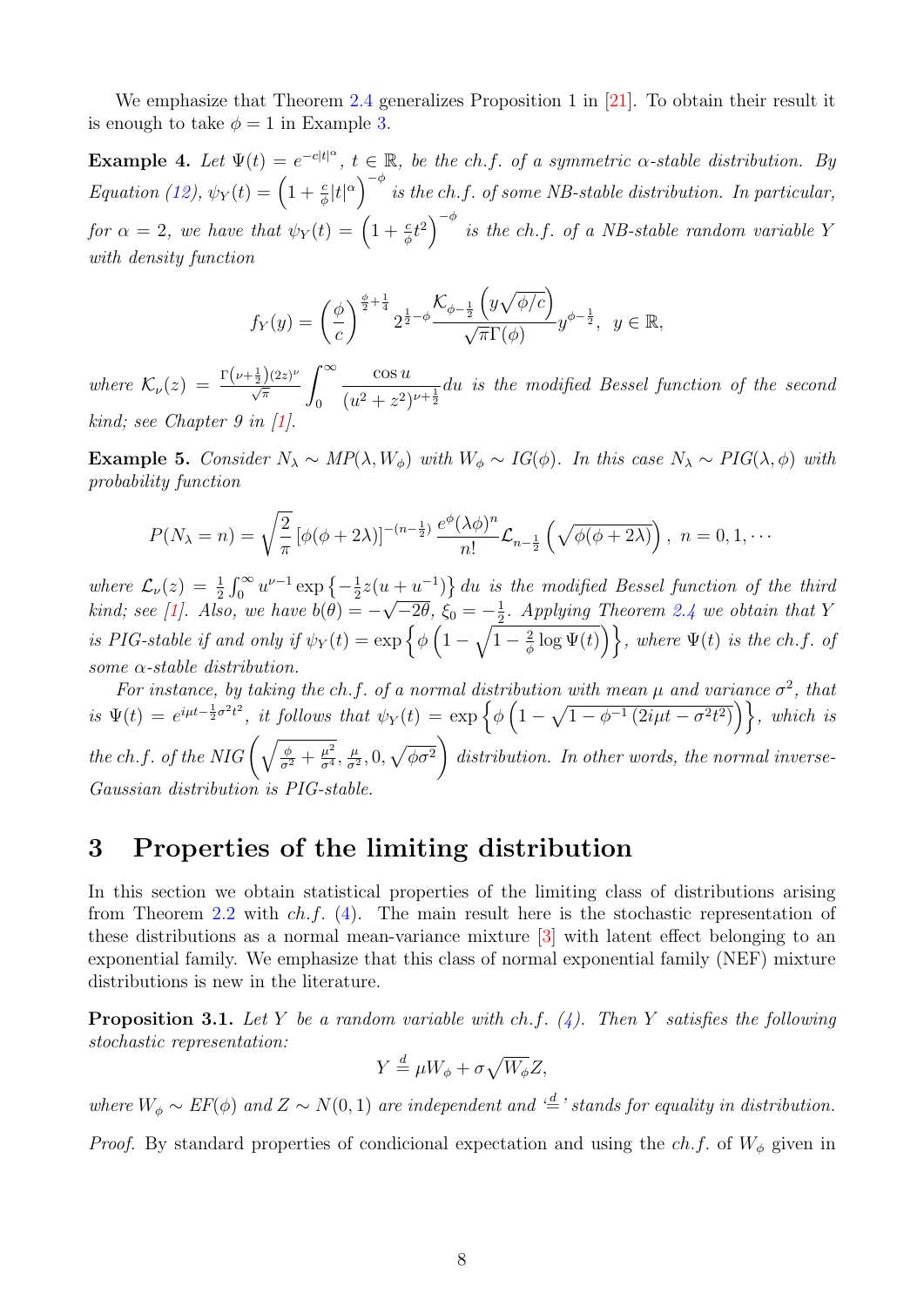We emphasize that Theorem [2.4](#page-5-3) generalizes Proposition 1 in [\[21\]](#page-21-15). To obtain their result it is enough to take  $\phi = 1$  in Example [3.](#page-6-1)

**Example 4.** Let  $\Psi(t) = e^{-c|t|^{\alpha}}, t \in \mathbb{R}$ , be the ch.f. of a symmetric  $\alpha$ -stable distribution. By Equation [\(12\)](#page-6-2),  $\psi_Y(t) = \left(1 + \frac{c}{\phi} |t|^\alpha\right)^{-\phi}$  is the ch.f. of some NB-stable distribution. In particular, for  $\alpha = 2$ , we have that  $\psi_Y(t) = \left(1 + \frac{c}{\phi}t^2\right)^{-\phi}$  is the ch.f. of a NB-stable random variable Y with density function

$$
f_Y(y) = \left(\frac{\phi}{c}\right)^{\frac{\phi}{2} + \frac{1}{4}} 2^{\frac{1}{2} - \phi} \frac{\mathcal{K}_{\phi - \frac{1}{2}}\left(y\sqrt{\phi/c}\right)}{\sqrt{\pi}\Gamma(\phi)} y^{\phi - \frac{1}{2}}, \ y \in \mathbb{R},
$$

where  $\mathcal{K}_{\nu}(z) = \frac{\Gamma(\nu + \frac{1}{2})(2z)^{\nu}}{\sqrt{\pi}}$  $\int^{\infty}$ 0 cos u  $\frac{1}{(u^2+z^2)^{\nu+\frac{1}{2}}}$ du is the modified Bessel function of the second kind; see Chapter 9 in  $[1]$ .

Example 5. Consider  $N_{\lambda} \sim MP(\lambda, W_{\phi})$  with  $W_{\phi} \sim IG(\phi)$ . In this case  $N_{\lambda} \sim PIG(\lambda, \phi)$  with probability function

$$
P(N_{\lambda}=n)=\sqrt{\frac{2}{\pi}}\left[\phi(\phi+2\lambda)\right]^{-(n-\frac{1}{2})}\frac{e^{\phi}(\lambda\phi)^n}{n!}\mathcal{L}_{n-\frac{1}{2}}\left(\sqrt{\phi(\phi+2\lambda)}\right),\ \ n=0,1,\cdots
$$

where  $\mathcal{L}_{\nu}(z) = \frac{1}{2} \int_0^{\infty} u^{\nu-1} \exp \left\{-\frac{1}{2}\right\}$  $\frac{1}{2}z(u+u^{-1})\} du$  is the modified Bessel function of the third kind; see [\[1\]](#page-20-7). Also, we have  $b(\theta) = -\sqrt{-2\theta}$ ,  $\xi_0 = -\frac{1}{2}$  $\frac{1}{2}$ . Applying Theorem [2.4](#page-5-3) we obtain that Y is PIG-stable if and only if  $\psi_Y(t) = \exp \left\{ \phi \left( 1 - \sqrt{1 - \frac{2}{\phi}} \right) \right\}$  $\left\{\frac{2}{\phi}\log \Psi(t)\right\}$ , where  $\Psi(t)$  is the ch.f. of some  $\alpha$ -stable distribution.

For instance, by taking the ch.f. of a normal distribution with mean  $\mu$  and variance  $\sigma^2$ , that is  $\Psi(t) = e^{i\mu t - \frac{1}{2}\sigma^2 t^2}$ , it follows that  $\psi_Y(t) = \exp\left\{\phi\left(1 - \sqrt{1 - \phi^{-1}(2i\mu t - \sigma^2 t^2)}\right)\right\}$ , which is the ch.f. of the NIG  $\left(\sqrt{\frac{\phi}{\sigma^2} + \frac{\mu^2}{\sigma^4}}\right)$  $\frac{\mu^2}{\sigma^4}, \frac{\mu}{\sigma^2}$  $\left(\frac{\mu}{\sigma^2},0,\sqrt{\phi\sigma^2}\right)$ distribution. In other words, the normal inverse-Gaussian distribution is PIG-stable.

### <span id="page-7-0"></span>3 Properties of the limiting distribution

In this section we obtain statistical properties of the limiting class of distributions arising from Theorem [2.2](#page-3-3) with ch.f. [\(4\)](#page-3-4). The main result here is the stochastic representation of these distributions as a normal mean-variance mixture [\[3\]](#page-20-8) with latent effect belonging to an exponential family. We emphasize that this class of normal exponential family (NEF) mixture distributions is new in the literature.

**Proposition 3.1.** Let Y be a random variable with ch.f.  $(4)$ . Then Y satisfies the following stochastic representation:

$$
Y \stackrel{d}{=} \mu W_{\phi} + \sigma \sqrt{W_{\phi}} Z,
$$

where  $W_{\phi} \sim EF(\phi)$  and  $Z \sim N(0, 1)$  are independent and ' $\stackrel{d}{=}$ ' stands for equality in distribution.

*Proof.* By standard properties of condicional expectation and using the ch.f. of  $W_{\phi}$  given in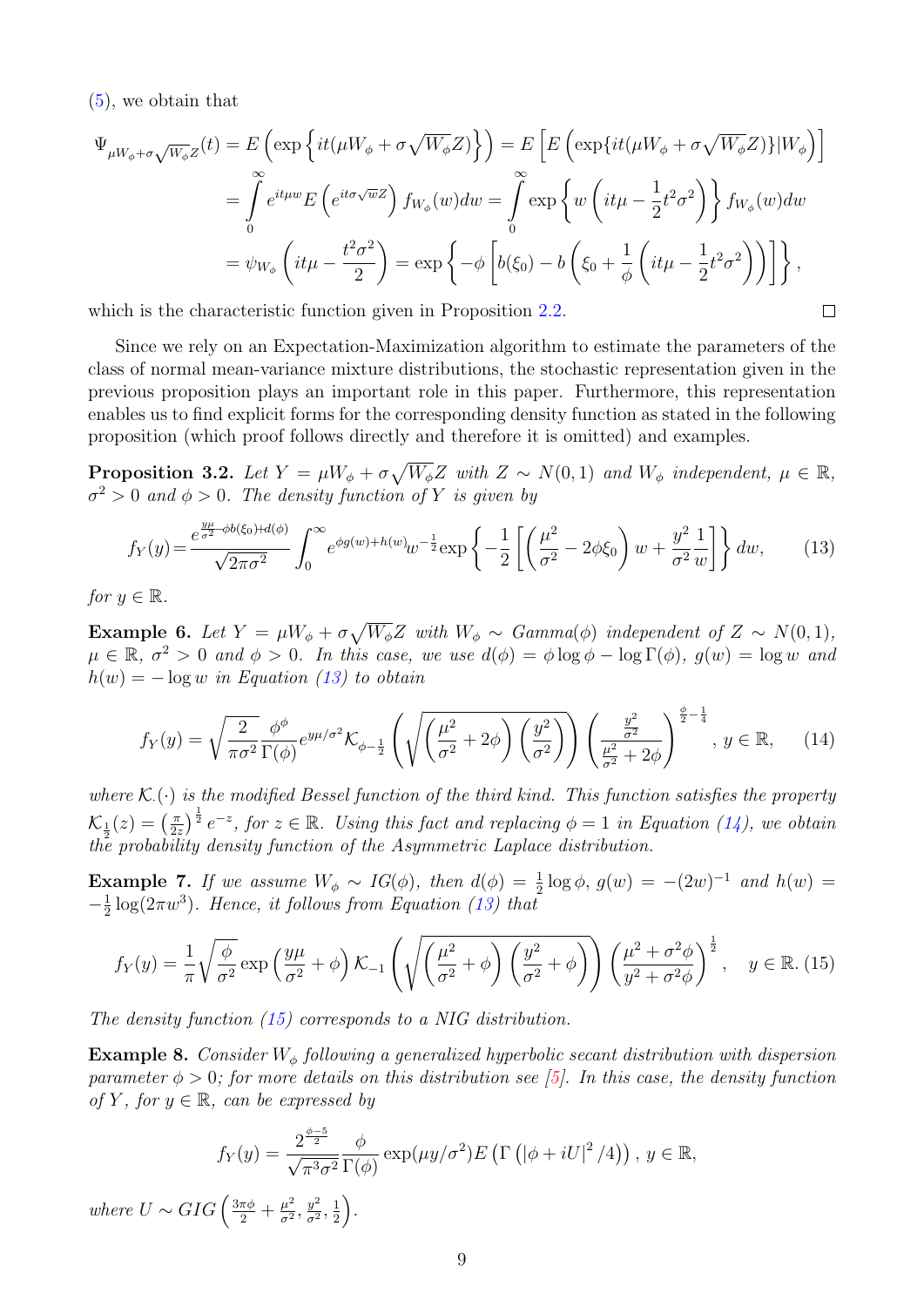[\(5\)](#page-3-1), we obtain that

$$
\Psi_{\mu W_{\phi} + \sigma \sqrt{W_{\phi}}Z}(t) = E\left(\exp\left\{it(\mu W_{\phi} + \sigma \sqrt{W_{\phi}}Z)\right\}\right) = E\left[E\left(\exp\{it(\mu W_{\phi} + \sigma \sqrt{W_{\phi}}Z)\}\right|W_{\phi}\right)\right]
$$

$$
= \int_{0}^{\infty} e^{it\mu w} E\left(e^{it\sigma \sqrt{w}Z}\right) f_{W_{\phi}}(w) dw = \int_{0}^{\infty} \exp\left\{w\left(it\mu - \frac{1}{2}t^{2}\sigma^{2}\right)\right\} f_{W_{\phi}}(w) dw
$$

$$
= \psi_{W_{\phi}}\left(it\mu - \frac{t^{2}\sigma^{2}}{2}\right) = \exp\left\{-\phi\left[b(\xi_{0}) - b\left(\xi_{0} + \frac{1}{\phi}\left(it\mu - \frac{1}{2}t^{2}\sigma^{2}\right)\right)\right]\right\},
$$

which is the characteristic function given in Proposition [2.2.](#page-3-3)

Since we rely on an Expectation-Maximization algorithm to estimate the parameters of the class of normal mean-variance mixture distributions, the stochastic representation given in the previous proposition plays an important role in this paper. Furthermore, this representation enables us to find explicit forms for the corresponding density function as stated in the following proposition (which proof follows directly and therefore it is omitted) and examples.

<span id="page-8-2"></span><span id="page-8-1"></span><span id="page-8-0"></span> $\Box$ 

**Proposition 3.2.** Let  $Y = \mu W_{\phi} + \sigma \sqrt{W_{\phi}} Z$  with  $Z \sim N(0, 1)$  and  $W_{\phi}$  independent,  $\mu \in \mathbb{R}$ ,  $\sigma^2 > 0$  and  $\phi > 0$ . The density function of Y is given by

$$
f_Y(y) = \frac{e^{\frac{y\mu}{\sigma^2} - \phi b(\xi_0) + d(\phi)}}{\sqrt{2\pi\sigma^2}} \int_0^\infty e^{\phi g(w) + h(w)} w^{-\frac{1}{2}} \exp\left\{-\frac{1}{2}\left[\left(\frac{\mu^2}{\sigma^2} - 2\phi\xi_0\right)w + \frac{y^2}{\sigma^2}\frac{1}{w}\right]\right\} dw,\tag{13}
$$

for  $y \in \mathbb{R}$ .

**Example 6.** Let  $Y = \mu W_{\phi} + \sigma \sqrt{W_{\phi}} Z$  with  $W_{\phi} \sim \text{Gamma}(\phi)$  independent of  $Z \sim N(0, 1)$ ,  $\mu \in \mathbb{R}, \sigma^2 > 0$  and  $\phi > 0$ . In this case, we use  $d(\phi) = \phi \log \phi - \log \Gamma(\phi)$ ,  $g(w) = \log w$  and  $h(w) = -\log w$  in Equation [\(13\)](#page-8-0) to obtain

$$
f_Y(y) = \sqrt{\frac{2}{\pi \sigma^2}} \frac{\phi^{\phi}}{\Gamma(\phi)} e^{y\mu/\sigma^2} \mathcal{K}_{\phi - \frac{1}{2}} \left( \sqrt{\left(\frac{\mu^2}{\sigma^2} + 2\phi\right) \left(\frac{y^2}{\sigma^2}\right)} \right) \left(\frac{\frac{y^2}{\sigma^2}}{\frac{\mu^2}{\sigma^2} + 2\phi}\right)^{\frac{\phi}{2} - \frac{1}{4}}, y \in \mathbb{R}, \quad (14)
$$

where  $\mathcal{K}(\cdot)$  is the modified Bessel function of the third kind. This function satisfies the property  $\mathcal{K}_{\frac{1}{2}}(z) = \left(\frac{\pi}{2z}\right)$  $\left(\frac{\pi}{2z}\right)^{\frac{1}{2}}e^{-z}$ , for  $z \in \mathbb{R}$ . Using this fact and replacing  $\phi = 1$  in Equation [\(14\)](#page-8-1), we obtain the probability density function of the Asymmetric Laplace distribution.

**Example 7.** If we assume  $W_{\phi} \sim IG(\phi)$ , then  $d(\phi) = \frac{1}{2} \log \phi$ ,  $g(w) = -(2w)^{-1}$  and  $h(w) =$  $-\frac{1}{2}$  $\frac{1}{2}$ log( $2\pi w^3$ ). Hence, it follows from Equation [\(13\)](#page-8-0) that

$$
f_Y(y) = \frac{1}{\pi} \sqrt{\frac{\phi}{\sigma^2}} \exp\left(\frac{y\mu}{\sigma^2} + \phi\right) \mathcal{K}_{-1}\left(\sqrt{\left(\frac{\mu^2}{\sigma^2} + \phi\right)\left(\frac{y^2}{\sigma^2} + \phi\right)}\right) \left(\frac{\mu^2 + \sigma^2 \phi}{y^2 + \sigma^2 \phi}\right)^{\frac{1}{2}}, \quad y \in \mathbb{R}.\ (15)
$$

The density function [\(15\)](#page-8-2) corresponds to a NIG distribution.

**Example 8.** Consider  $W_{\phi}$  following a generalized hyperbolic secant distribution with dispersion parameter  $\phi > 0$ ; for more details on this distribution see [\[5\]](#page-20-3). In this case, the density function of Y, for  $y \in \mathbb{R}$ , can be expressed by

$$
f_Y(y) = \frac{2^{\frac{\phi-5}{2}}}{\sqrt{\pi^3 \sigma^2}} \frac{\phi}{\Gamma(\phi)} \exp(\mu y/\sigma^2) E\left(\Gamma\left(|\phi + iU|^2/4\right)\right), y \in \mathbb{R},
$$
  
 
$$
GIG\left(\frac{3\pi\phi}{2} + \frac{\mu^2}{\sigma^2}, \frac{y^2}{\sigma^2}, \frac{1}{2}\right).
$$

where  $U \sim GIG \left( \frac{3\pi\phi}{2} + \frac{\mu^2}{\sigma^2} \right)$  $\frac{\mu^2}{\sigma^2}, \frac{y^2}{\sigma^2}$  $rac{y^2}{\sigma^2}, \frac{1}{2}$  $\frac{1}{2}$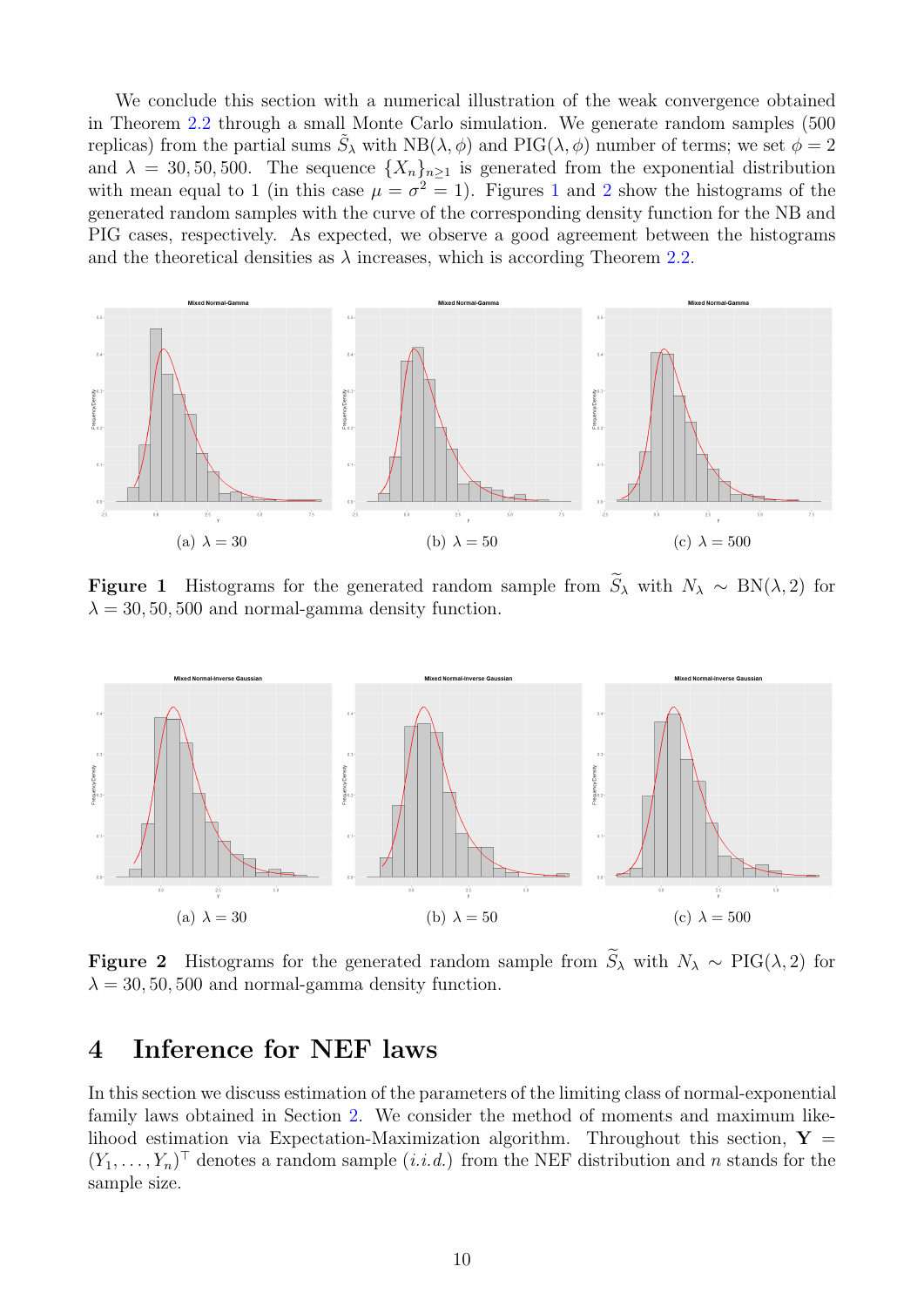We conclude this section with a numerical illustration of the weak convergence obtained in Theorem [2.2](#page-3-3) through a small Monte Carlo simulation. We generate random samples (500 replicas) from the partial sums  $\tilde{S}_{\lambda}$  with  $NB(\lambda, \phi)$  and  $PIG(\lambda, \phi)$  number of terms; we set  $\phi = 2$ and  $\lambda = 30, 50, 500$ . The sequence  $\{X_n\}_{n\geq 1}$  is generated from the exponential distribution with mean equal to [1](#page-9-1) (in this case  $\mu = \sigma^2 = 1$  $\mu = \sigma^2 = 1$  $\mu = \sigma^2 = 1$ ). Figures 1 and 2 show the histograms of the generated random samples with the curve of the corresponding density function for the NB and PIG cases, respectively. As expected, we observe a good agreement between the histograms and the theoretical densities as  $\lambda$  increases, which is according Theorem [2.2.](#page-3-3)

<span id="page-9-1"></span>

**Figure 1** Histograms for the generated random sample from  $\widetilde{S}_{\lambda}$  with  $N_{\lambda} \sim BN(\lambda, 2)$  for  $\lambda = 30, 50, 500$  and normal-gamma density function.

<span id="page-9-2"></span>

**Figure 2** Histograms for the generated random sample from  $\widetilde{S}_{\lambda}$  with  $N_{\lambda} \sim \text{PIG}(\lambda, 2)$  for  $\lambda = 30, 50, 500$  and normal-gamma density function.

### <span id="page-9-0"></span>4 Inference for NEF laws

In this section we discuss estimation of the parameters of the limiting class of normal-exponential family laws obtained in Section [2.](#page-2-0) We consider the method of moments and maximum likelihood estimation via Expectation-Maximization algorithm. Throughout this section,  $Y =$  $(Y_1, \ldots, Y_n)$ <sup>T</sup> denotes a random sample  $(i.i.d.)$  from the NEF distribution and n stands for the sample size.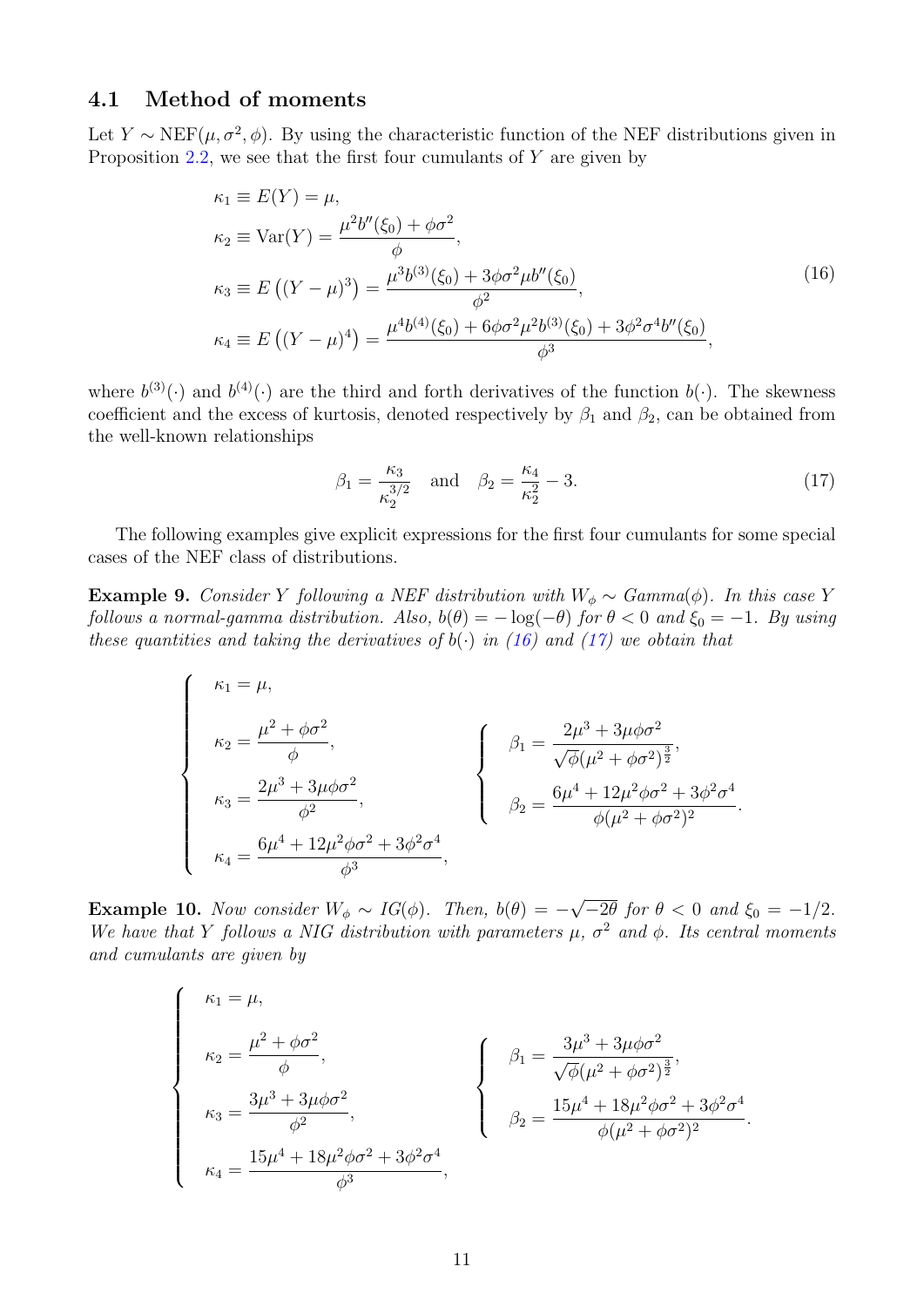#### 4.1 Method of moments

Let Y ~ NEF( $\mu, \sigma^2, \phi$ ). By using the characteristic function of the NEF distributions given in Proposition [2.2,](#page-3-3) we see that the first four cumulants of  $Y$  are given by

<span id="page-10-0"></span>
$$
\kappa_1 \equiv E(Y) = \mu,
$$
  
\n
$$
\kappa_2 \equiv \text{Var}(Y) = \frac{\mu^2 b''(\xi_0) + \phi \sigma^2}{\phi},
$$
  
\n
$$
\kappa_3 \equiv E((Y - \mu)^3) = \frac{\mu^3 b^{(3)}(\xi_0) + 3\phi \sigma^2 \mu b''(\xi_0)}{\phi^2},
$$
  
\n
$$
\kappa_4 \equiv E((Y - \mu)^4) = \frac{\mu^4 b^{(4)}(\xi_0) + 6\phi \sigma^2 \mu^2 b^{(3)}(\xi_0) + 3\phi^2 \sigma^4 b''(\xi_0)}{\phi^3},
$$
\n(16)

where  $b^{(3)}(\cdot)$  and  $b^{(4)}(\cdot)$  are the third and forth derivatives of the function  $b(\cdot)$ . The skewness coefficient and the excess of kurtosis, denoted respectively by  $\beta_1$  and  $\beta_2$ , can be obtained from the well-known relationships

<span id="page-10-1"></span>
$$
\beta_1 = \frac{\kappa_3}{\kappa_2^{3/2}}
$$
 and  $\beta_2 = \frac{\kappa_4}{\kappa_2^2} - 3.$  (17)

.

The following examples give explicit expressions for the first four cumulants for some special cases of the NEF class of distributions.

Example 9. Consider Y following a NEF distribution with  $W_{\phi} \sim \text{Gamma}(\phi)$ . In this case Y follows a normal-gamma distribution. Also,  $b(\theta) = -\log(-\theta)$  for  $\theta < 0$  and  $\xi_0 = -1$ . By using these quantities and taking the derivatives of  $b(\cdot)$  in [\(16\)](#page-10-0) and [\(17\)](#page-10-1) we obtain that

$$
\begin{cases}\n\kappa_1 = \mu, \\
\kappa_2 = \frac{\mu^2 + \phi \sigma^2}{\phi}, \\
\kappa_3 = \frac{2\mu^3 + 3\mu\phi \sigma^2}{\phi^2}, \\
\kappa_4 = \frac{6\mu^4 + 12\mu^2\phi \sigma^2 + 3\phi^2 \sigma^4}{\phi^3},\n\end{cases}\n\begin{cases}\n\beta_1 = \frac{2\mu^3 + 3\mu\phi \sigma^2}{\sqrt{\phi(\mu^2 + \phi \sigma^2)^{\frac{3}{2}}}}, \\
\beta_2 = \frac{6\mu^4 + 12\mu^2\phi \sigma^2 + 3\phi^2 \sigma^4}{\phi(\mu^2 + \phi \sigma^2)^2}.\n\end{cases}
$$

**Example 10.** Now consider  $W_{\phi} \sim IG(\phi)$ . Then,  $b(\theta) = -$ √  $\left(-2\theta \text{ for } \theta < 0 \text{ and } \xi_0 = -1/2\right).$ We have that Y follows a NIG distribution with parameters  $\mu$ ,  $\sigma^2$  and  $\phi$ . Its central moments and cumulants are given by

$$
\begin{cases}\n\kappa_1 = \mu, \\
\kappa_2 = \frac{\mu^2 + \phi \sigma^2}{\phi}, \\
\kappa_3 = \frac{3\mu^3 + 3\mu\phi \sigma^2}{\phi^2}, \\
\kappa_4 = \frac{15\mu^4 + 18\mu^2\phi \sigma^2 + 3\phi^2 \sigma^4}{\phi^3},\n\end{cases}\n\begin{cases}\n\beta_1 = \frac{3\mu^3 + 3\mu\phi \sigma^2}{\sqrt{\phi(\mu^2 + \phi \sigma^2)^{\frac{3}{2}}}}, \\
\beta_2 = \frac{15\mu^4 + 18\mu^2\phi \sigma^2 + 3\phi^2 \sigma^4}{\phi(\mu^2 + \phi \sigma^2)^2}\n\end{cases}
$$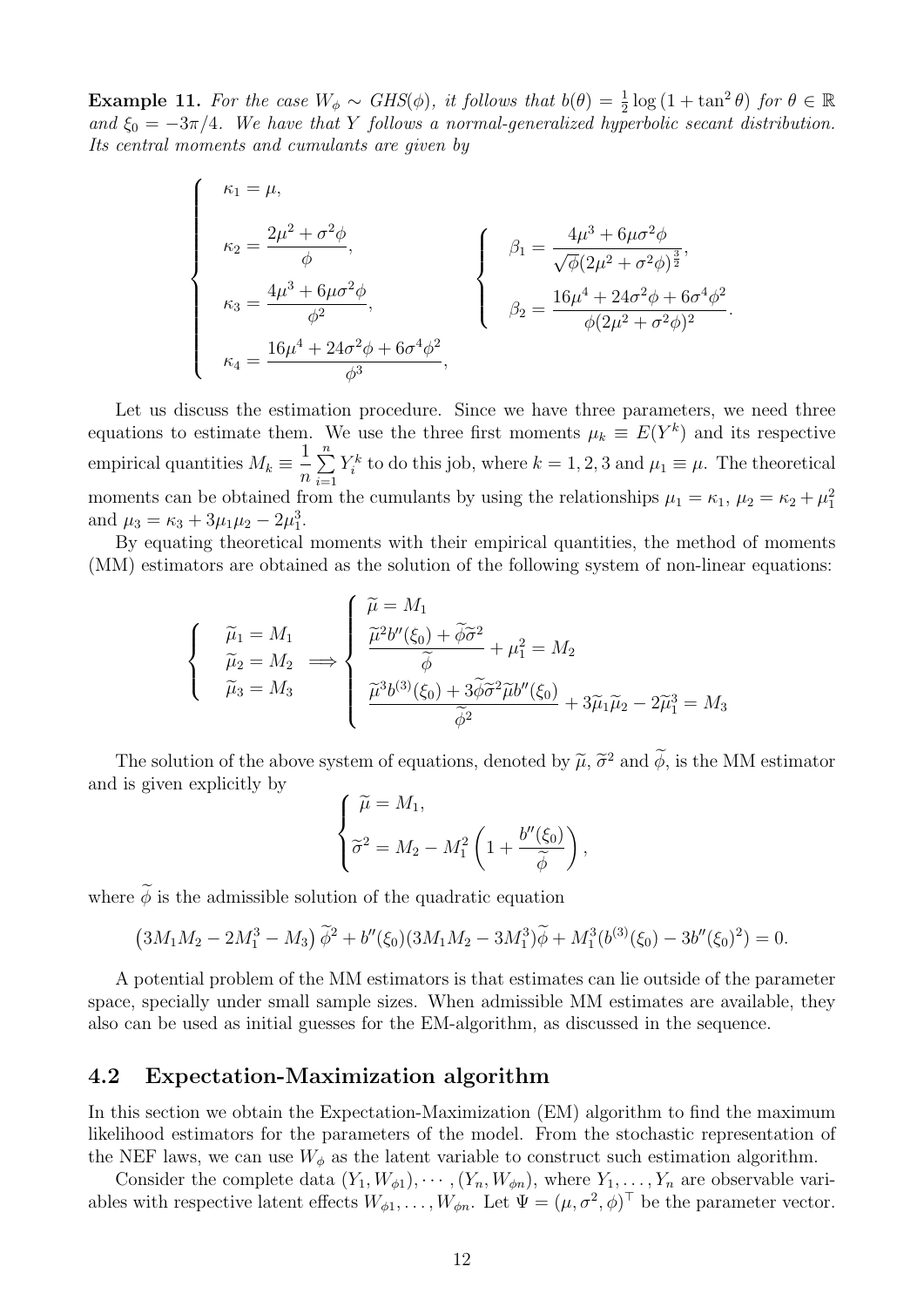**Example 11.** For the case  $W_{\phi} \sim GHS(\phi)$ , it follows that  $b(\theta) = \frac{1}{2} \log (1 + \tan^2 \theta)$  for  $\theta \in \mathbb{R}$ and  $\xi_0 = -3\pi/4$ . We have that Y follows a normal-generalized hyperbolic secant distribution. Its central moments and cumulants are given by

$$
\begin{cases}\n\kappa_1 = \mu, \\
\kappa_2 = \frac{2\mu^2 + \sigma^2 \phi}{\phi}, \\
\kappa_3 = \frac{4\mu^3 + 6\mu\sigma^2 \phi}{\phi^2}, \\
\kappa_4 = \frac{16\mu^4 + 24\sigma^2 \phi + 6\sigma^4 \phi^2}{\phi^3}, \\
\end{cases}\n\qquad\n\begin{cases}\n\beta_1 = \frac{4\mu^3 + 6\mu\sigma^2 \phi}{\sqrt{\phi}(2\mu^2 + \sigma^2 \phi)^{\frac{3}{2}}}, \\
\beta_2 = \frac{16\mu^4 + 24\sigma^2 \phi + 6\sigma^4 \phi^2}{\phi(2\mu^2 + \sigma^2 \phi)^2}.\n\end{cases}
$$

Let us discuss the estimation procedure. Since we have three parameters, we need three equations to estimate them. We use the three first moments  $\mu_k \equiv E(Y^k)$  and its respective empirical quantities  $M_k \equiv \frac{1}{k}$ n  $\sum_{n=1}^{\infty}$  $i=1$  $Y_i^k$  to do this job, where  $k = 1, 2, 3$  and  $\mu_1 \equiv \mu$ . The theoretical moments can be obtained from the cumulants by using the relationships  $\mu_1 = \kappa_1, \mu_2 = \kappa_2 + \mu_1^2$ and  $\mu_3 = \kappa_3 + 3\mu_1\mu_2 - 2\mu_1^3$ .

By equating theoretical moments with their empirical quantities, the method of moments (MM) estimators are obtained as the solution of the following system of non-linear equations:

$$
\begin{cases}\n\widetilde{\mu}_1 = M_1 \\
\widetilde{\mu}_2 = M_2 \implies \n\begin{cases}\n\widetilde{\mu} = M_1 \\
\frac{\widetilde{\mu}^2 b''(\xi_0) + \widetilde{\phi}\widetilde{\sigma}^2}{\widetilde{\phi}} + \mu_1^2 = M_2 \\
\frac{\widetilde{\mu}^3 b^{(3)}(\xi_0) + 3\widetilde{\phi}\widetilde{\sigma}^2 \widetilde{\mu}b''(\xi_0)}{\widetilde{\phi}^2} + 3\widetilde{\mu}_1 \widetilde{\mu}_2 - 2\widetilde{\mu}_1^3 = M_3\n\end{cases}\n\end{cases}
$$

The solution of the above system of equations, denoted by  $\tilde{\mu}$ ,  $\tilde{\sigma}^2$  and  $\tilde{\phi}$ , is the MM estimator and is given explicitly by

$$
\begin{cases}\n\widetilde{\mu} = M_1, \\
\widetilde{\sigma}^2 = M_2 - M_1^2 \left(1 + \frac{b''(\xi_0)}{\widetilde{\phi}}\right),\n\end{cases}
$$

where  $\widetilde{\phi}$  is the admissible solution of the quadratic equation

$$
(3M_1M_2 - 2M_1^3 - M_3)\tilde{\phi}^2 + b''(\xi_0)(3M_1M_2 - 3M_1^3)\tilde{\phi} + M_1^3(b^{(3)}(\xi_0) - 3b''(\xi_0)^2) = 0.
$$

A potential problem of the MM estimators is that estimates can lie outside of the parameter space, specially under small sample sizes. When admissible MM estimates are available, they also can be used as initial guesses for the EM-algorithm, as discussed in the sequence.

#### <span id="page-11-0"></span>4.2 Expectation-Maximization algorithm

In this section we obtain the Expectation-Maximization (EM) algorithm to find the maximum likelihood estimators for the parameters of the model. From the stochastic representation of the NEF laws, we can use  $W_{\phi}$  as the latent variable to construct such estimation algorithm.

Consider the complete data  $(Y_1, W_{\phi 1}), \cdots, (Y_n, W_{\phi n}),$  where  $Y_1, \ldots, Y_n$  are observable variables with respective latent effects  $W_{\phi 1}, \ldots, W_{\phi n}$ . Let  $\Psi = (\mu, \sigma^2, \phi)^{\top}$  be the parameter vector.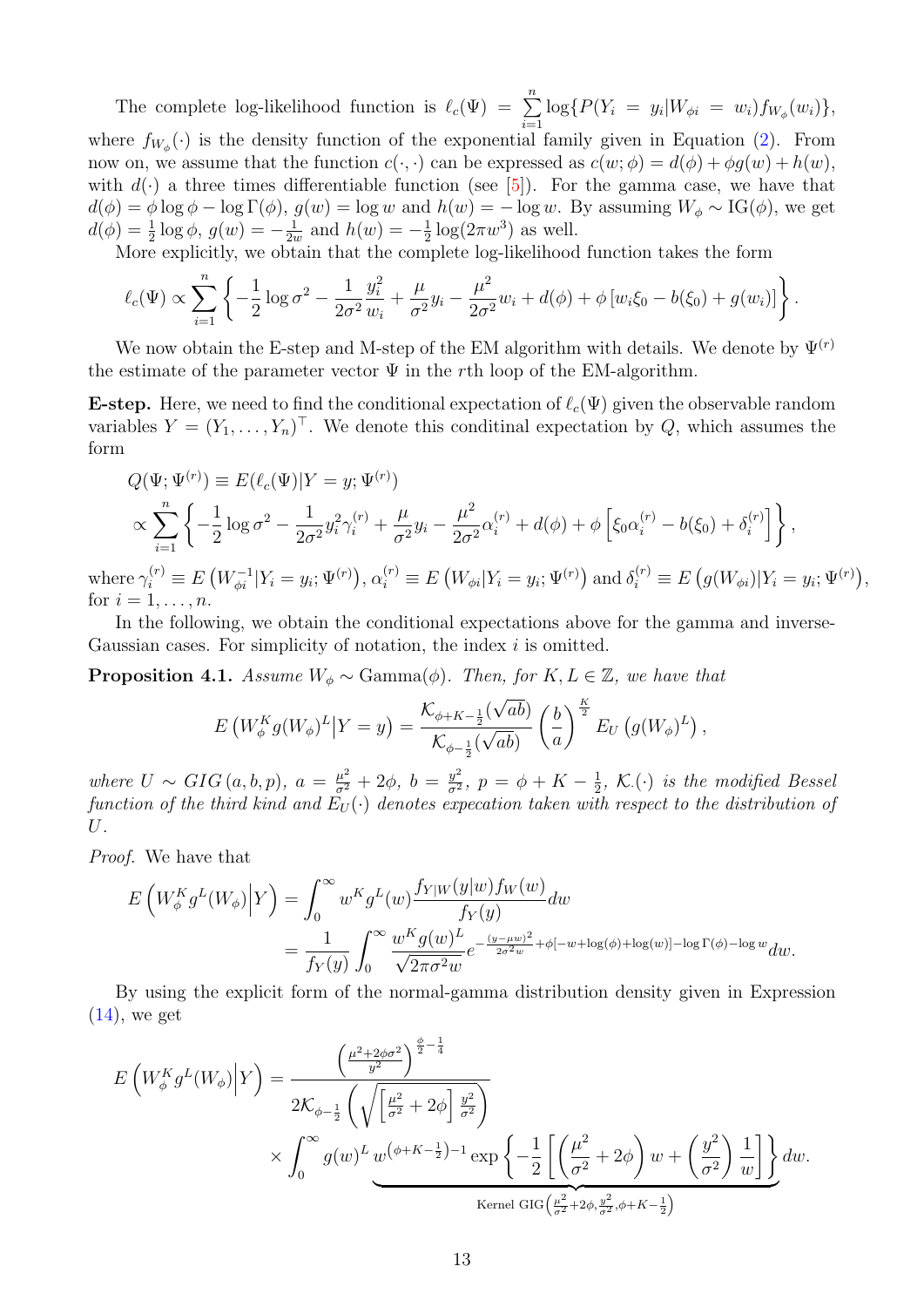The complete log-likelihood function is  $\ell_c(\Psi) = \sum_{n=1}^n$  $i=1$  $\log\{P(Y_i = y_i | W_{\phi i} = w_i) f_{W_{\phi}}(w_i)\},\$ where  $f_{W_{\phi}}(\cdot)$  is the density function of the exponential family given in Equation [\(2\)](#page-2-2). From now on, we assume that the function  $c(\cdot, \cdot)$  can be expressed as  $c(w; \phi) = d(\phi) + \phi q(w) + h(w)$ , with  $d(\cdot)$  a three times differentiable function (see [\[5\]](#page-20-3)). For the gamma case, we have that  $d(\phi) = \phi \log \phi - \log \Gamma(\phi)$ ,  $g(w) = \log w$  and  $h(w) = -\log w$ . By assuming  $W_{\phi} \sim \text{IG}(\phi)$ , we get  $d(\phi) = \frac{1}{2} \log \phi, g(w) = -\frac{1}{2i}$  $\frac{1}{2w}$  and  $h(w) = -\frac{1}{2}$  $\frac{1}{2}\log(2\pi w^3)$  as well.

More explicitly, we obtain that the complete log-likelihood function takes the form

$$
\ell_c(\Psi) \propto \sum_{i=1}^n \left\{ -\frac{1}{2} \log \sigma^2 - \frac{1}{2\sigma^2} \frac{y_i^2}{w_i} + \frac{\mu}{\sigma^2} y_i - \frac{\mu^2}{2\sigma^2} w_i + d(\phi) + \phi \left[ w_i \xi_0 - b(\xi_0) + g(w_i) \right] \right\}.
$$

We now obtain the E-step and M-step of the EM algorithm with details. We denote by  $\Psi^{(r)}$ the estimate of the parameter vector  $\Psi$  in the rth loop of the EM-algorithm.

**E-step.** Here, we need to find the conditional expectation of  $\ell_c(\Psi)$  given the observable random variables  $Y = (Y_1, \ldots, Y_n)^\top$ . We denote this conditinal expectation by Q, which assumes the form

$$
Q(\Psi; \Psi^{(r)}) \equiv E(\ell_c(\Psi)|Y = y; \Psi^{(r)})
$$
  
\n
$$
\propto \sum_{i=1}^n \left\{ -\frac{1}{2} \log \sigma^2 - \frac{1}{2\sigma^2} y_i^2 \gamma_i^{(r)} + \frac{\mu}{\sigma^2} y_i - \frac{\mu^2}{2\sigma^2} \alpha_i^{(r)} + d(\phi) + \phi \left[ \xi_0 \alpha_i^{(r)} - b(\xi_0) + \delta_i^{(r)} \right] \right\},
$$
  
\n
$$
\text{Re } \gamma_i^{(r)} \equiv E\left(W_{\phi i}^{-1}|Y_i = y_i; \Psi^{(r)}\right), \alpha_i^{(r)} \equiv E\left(W_{\phi i}|Y_i = y_i; \Psi^{(r)}\right) \text{ and } \delta_i^{(r)} \equiv E\left(g(W_{\phi i})|Y_i = y_i; \Psi^{(r)}\right),
$$

where for  $i = 1, \ldots, n$ . In the following, we obtain the conditional expectations above for the gamma and inverse-

Gaussian cases. For simplicity of notation, the index i is omitted.

**Proposition 4.1.** Assume  $W_{\phi} \sim \text{Gamma}(\phi)$ . Then, for  $K, L \in \mathbb{Z}$ , we have that

$$
E\left(W_{\phi}^K g(W_{\phi})^L \big| Y = y\right) = \frac{\mathcal{K}_{\phi+K-\frac{1}{2}}(\sqrt{ab})}{\mathcal{K}_{\phi-\frac{1}{2}}(\sqrt{ab})} \left(\frac{b}{a}\right)^{\frac{K}{2}} E_U\left(g(W_{\phi})^L\right),
$$

where  $U \sim GIG(a, b, p)$ ,  $a = \frac{\mu^2}{\sigma^2} + 2\phi$ ,  $b = \frac{y^2}{\sigma^2}$  $\frac{y^2}{\sigma^2},\ p = \phi + K - \frac{1}{2}$  $\frac{1}{2}$ , K.( $\cdot$ ) is the modified Bessel function of the third kind and  $E_U(\cdot)$  denotes expecation taken with respect to the distribution of U.

Proof. We have that

$$
E\left(W_{\phi}^{K}g^{L}(W_{\phi})\Big|Y\right) = \int_{0}^{\infty} w^{K}g^{L}(w)\frac{f_{Y|W}(y|w)f_{W}(w)}{f_{Y}(y)}dw
$$
  
= 
$$
\frac{1}{f_{Y}(y)}\int_{0}^{\infty} \frac{w^{K}g(w)^{L}}{\sqrt{2\pi\sigma^{2}w}}e^{-\frac{(y-\mu w)^{2}}{2\sigma^{2}w}+\phi[-w+\log(\phi)+\log(w)]-\log\Gamma(\phi)-\log w}dw.
$$

By using the explicit form of the normal-gamma distribution density given in Expression  $(14)$ , we get

$$
E\left(W_{\phi}^{K}g^{L}(W_{\phi})\Big|Y\right) = \frac{\left(\frac{\mu^{2}+2\phi\sigma^{2}}{y^{2}}\right)^{\frac{\phi}{2}-\frac{1}{4}}}{2\mathcal{K}_{\phi-\frac{1}{2}}\left(\sqrt{\left[\frac{\mu^{2}}{\sigma^{2}}+2\phi\right]\frac{y^{2}}{\sigma^{2}}}\right)} \times \int_{0}^{\infty} g(w)^{L} \underbrace{w^{(\phi+K-\frac{1}{2})-1}\exp\left\{-\frac{1}{2}\left[\left(\frac{\mu^{2}}{\sigma^{2}}+2\phi\right)w+\left(\frac{y^{2}}{\sigma^{2}}\right)\frac{1}{w}\right]\right\}}_{\text{Kernel GIG}\left(\frac{\mu^{2}}{\sigma^{2}}+2\phi,\frac{y^{2}}{\sigma^{2}},\phi+K-\frac{1}{2}\right)} dw.
$$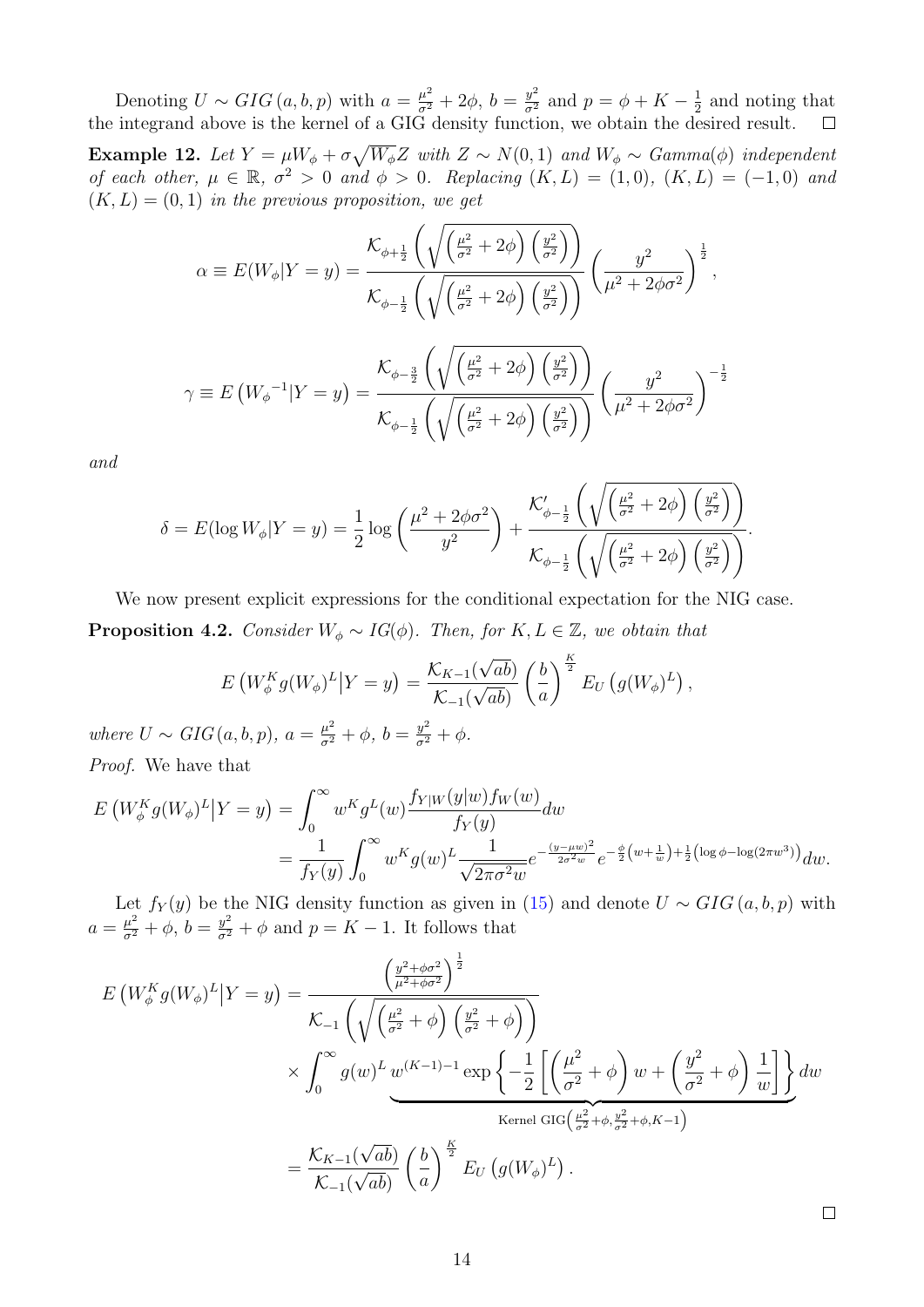Denoting  $U \sim GIG(a, b, p)$  with  $a = \frac{\mu^2}{\sigma^2} + 2\phi$ ,  $b = \frac{y^2}{\sigma^2}$  and  $p = \phi + K - \frac{1}{2}$  $\frac{1}{2}$  and noting that the integrand above is the kernel of a GIG density function, we obtain the desired result.

**Example 12.** Let  $Y = \mu W_{\phi} + \sigma \sqrt{W_{\phi}} Z$  with  $Z \sim N(0, 1)$  and  $W_{\phi} \sim \text{Gamma}(\phi)$  independent of each other,  $\mu \in \mathbb{R}$ ,  $\sigma^2 > 0$  and  $\phi > 0$ . Replacing  $(K, L) = (1, 0)$ ,  $(K, L) = (-1, 0)$  and  $(K, L) = (0, 1)$  in the previous proposition, we get

$$
\alpha \equiv E(W_{\phi}|Y=y) = \frac{\mathcal{K}_{\phi+\frac{1}{2}}\left(\sqrt{\left(\frac{\mu^2}{\sigma^2}+2\phi\right)\left(\frac{y^2}{\sigma^2}\right)}\right)}{\mathcal{K}_{\phi-\frac{1}{2}}\left(\sqrt{\left(\frac{\mu^2}{\sigma^2}+2\phi\right)\left(\frac{y^2}{\sigma^2}\right)}\right)} \left(\frac{y^2}{\mu^2+2\phi\sigma^2}\right)^{\frac{1}{2}},
$$

$$
\gamma \equiv E\left(W_{\phi}^{-1}|Y=y\right) = \frac{\mathcal{K}_{\phi-\frac{3}{2}}\left(\sqrt{\left(\frac{\mu^2}{\sigma^2}+2\phi\right)\left(\frac{y^2}{\sigma^2}\right)}\right)}{\mathcal{K}_{\phi-\frac{1}{2}}\left(\sqrt{\left(\frac{\mu^2}{\sigma^2}+2\phi\right)\left(\frac{y^2}{\sigma^2}\right)}\right)} \left(\frac{y^2}{\mu^2+2\phi\sigma^2}\right)^{-\frac{1}{2}}
$$

and

$$
\delta = E(\log W_{\phi}|Y=y) = \frac{1}{2}\log\left(\frac{\mu^2 + 2\phi\sigma^2}{y^2}\right) + \frac{\mathcal{K}'_{\phi-\frac{1}{2}}\left(\sqrt{\left(\frac{\mu^2}{\sigma^2} + 2\phi\right)\left(\frac{y^2}{\sigma^2}\right)}\right)}{\mathcal{K}_{\phi-\frac{1}{2}}\left(\sqrt{\left(\frac{\mu^2}{\sigma^2} + 2\phi\right)\left(\frac{y^2}{\sigma^2}\right)}\right)}.
$$

<span id="page-13-0"></span>We now present explicit expressions for the conditional expectation for the NIG case. **Proposition 4.2.** Consider  $W_{\phi} \sim IG(\phi)$ . Then, for  $K, L \in \mathbb{Z}$ , we obtain that

$$
E\left(W_{\phi}^K g(W_{\phi})^L \big| Y = y\right) = \frac{\mathcal{K}_{K-1}(\sqrt{ab})}{\mathcal{K}_{-1}(\sqrt{ab})} \left(\frac{b}{a}\right)^{\frac{K}{2}} E_U\left(g(W_{\phi})^L\right),
$$

where  $U \sim GIG(a, b, p)$ ,  $a = \frac{\mu^2}{\sigma^2} + \phi$ ,  $b = \frac{y^2}{\sigma^2} + \phi$ . Proof. We have that

$$
E\left(W_{\phi}^{K}g(W_{\phi})^{L}|Y=y\right) = \int_{0}^{\infty} w^{K}g^{L}(w)\frac{f_{Y|W}(y|w)f_{W}(w)}{f_{Y}(y)}dw
$$
  
= 
$$
\frac{1}{f_{Y}(y)}\int_{0}^{\infty} w^{K}g(w)^{L}\frac{1}{\sqrt{2\pi\sigma^{2}w}}e^{-\frac{(y-\mu w)^{2}}{2\sigma^{2}w}}e^{-\frac{\phi}{2}\left(w+\frac{1}{w}\right)+\frac{1}{2}\left(\log\phi-\log(2\pi w^{3})\right)}dw.
$$

Let  $f_Y(y)$  be the NIG density function as given in [\(15\)](#page-8-2) and denote  $U \sim GIG(a, b, p)$  with  $a = \frac{\mu^2}{\sigma^2} + \phi$ ,  $b = \frac{y^2}{\sigma^2} + \phi$  and  $p = K - 1$ . It follows that

$$
E\left(W_{\phi}^{K}g(W_{\phi})^{L}\middle|Y=y\right) = \frac{\left(\frac{y^{2}+\phi\sigma^{2}}{\mu^{2}+\phi\sigma^{2}}\right)^{\frac{1}{2}}}{\mathcal{K}_{-1}\left(\sqrt{\left(\frac{\mu^{2}}{\sigma^{2}}+\phi\right)\left(\frac{y^{2}}{\sigma^{2}}+\phi\right)}\right)}
$$

$$
\times \int_{0}^{\infty} g(w)^{L} w^{(K-1)-1} \exp\left\{-\frac{1}{2}\left[\left(\frac{\mu^{2}}{\sigma^{2}}+\phi\right)w+\left(\frac{y^{2}}{\sigma^{2}}+\phi\right)\frac{1}{w}\right]\right\} dw
$$
  
Kernel  $\text{GIG}\left(\frac{\mu^{2}}{\sigma^{2}}+\phi,\frac{y^{2}}{\sigma^{2}}+\phi,K-1\right)$ 
$$
= \frac{\mathcal{K}_{K-1}(\sqrt{ab})}{\mathcal{K}_{-1}(\sqrt{ab})}\left(\frac{b}{a}\right)^{\frac{K}{2}} E_{U}\left(g(W_{\phi})^{L}\right).
$$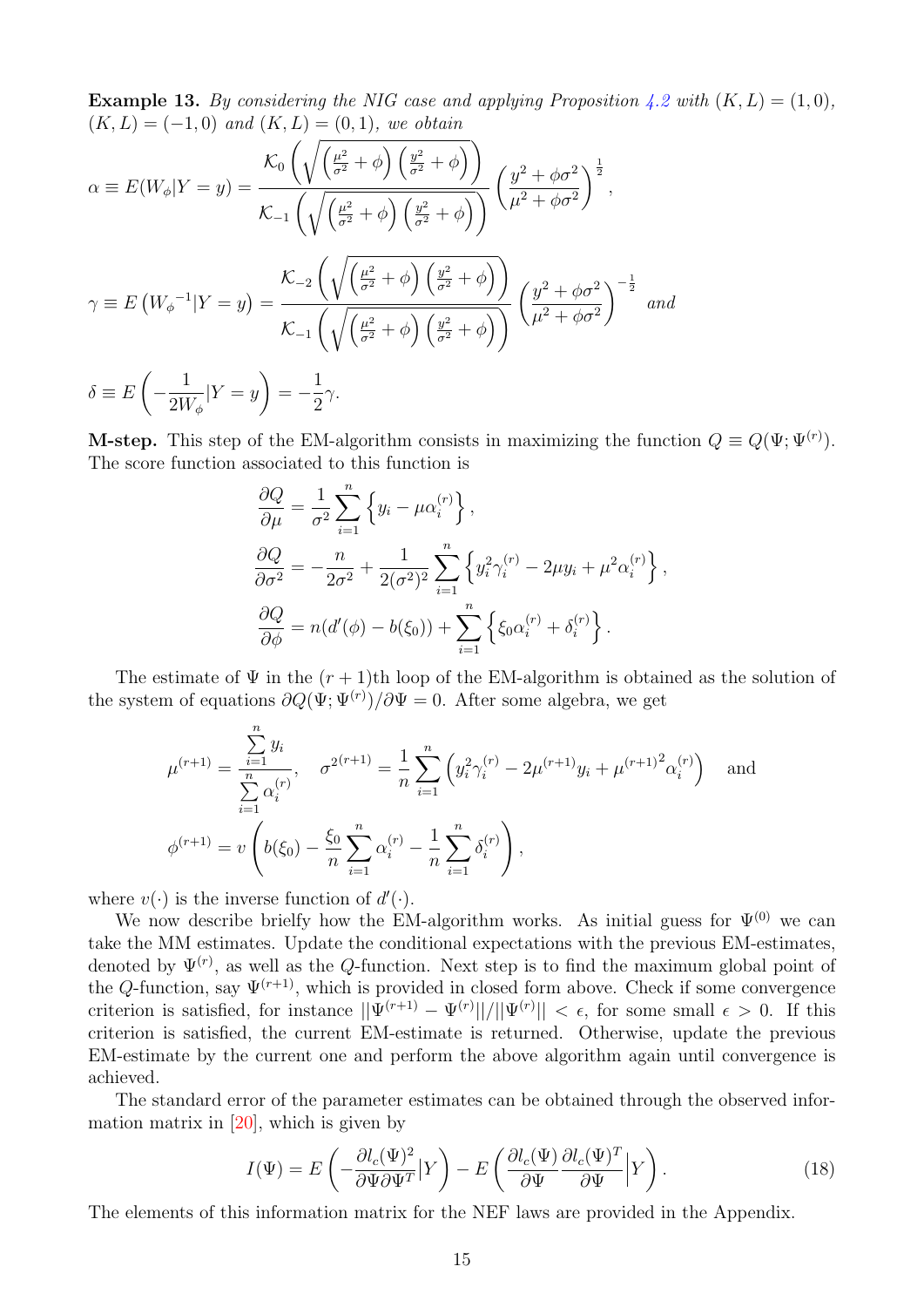**Example 13.** By considering the NIG case and applying Proposition [4.2](#page-13-0) with  $(K, L) = (1, 0)$ ,  $(K, L) = (-1, 0)$  and  $(K, L) = (0, 1)$ , we obtain

$$
\alpha \equiv E(W_{\phi}|Y=y) = \frac{\mathcal{K}_{0}\left(\sqrt{\left(\frac{\mu^{2}}{\sigma^{2}}+\phi\right)\left(\frac{y^{2}}{\sigma^{2}}+\phi\right)}\right)}{\mathcal{K}_{-1}\left(\sqrt{\left(\frac{\mu^{2}}{\sigma^{2}}+\phi\right)\left(\frac{y^{2}}{\sigma^{2}}+\phi\right)}\right)} \left(\frac{y^{2}+\phi\sigma^{2}}{\mu^{2}+\phi\sigma^{2}}\right)^{\frac{1}{2}},
$$
\n
$$
\gamma \equiv E\left(W_{\phi}^{-1}|Y=y\right) = \frac{\mathcal{K}_{-2}\left(\sqrt{\left(\frac{\mu^{2}}{\sigma^{2}}+\phi\right)\left(\frac{y^{2}}{\sigma^{2}}+\phi\right)}\right)}{\mathcal{K}_{-1}\left(\sqrt{\left(\frac{\mu^{2}}{\sigma^{2}}+\phi\right)\left(\frac{y^{2}}{\sigma^{2}}+\phi\right)}\right)} \left(\frac{y^{2}+\phi\sigma^{2}}{\mu^{2}+\phi\sigma^{2}}\right)^{-\frac{1}{2}} and
$$
\n
$$
\delta \equiv E\left(-\frac{1}{2W_{\phi}}|Y=y\right) = -\frac{1}{2}\gamma.
$$

**M-step.** This step of the EM-algorithm consists in maximizing the function  $Q \equiv Q(\Psi; \Psi^{(r)})$ . The score function associated to this function is

$$
\frac{\partial Q}{\partial \mu} = \frac{1}{\sigma^2} \sum_{i=1}^n \left\{ y_i - \mu \alpha_i^{(r)} \right\},
$$
  
\n
$$
\frac{\partial Q}{\partial \sigma^2} = -\frac{n}{2\sigma^2} + \frac{1}{2(\sigma^2)^2} \sum_{i=1}^n \left\{ y_i^2 \gamma_i^{(r)} - 2\mu y_i + \mu^2 \alpha_i^{(r)} \right\},
$$
  
\n
$$
\frac{\partial Q}{\partial \phi} = n(d'(\phi) - b(\xi_0)) + \sum_{i=1}^n \left\{ \xi_0 \alpha_i^{(r)} + \delta_i^{(r)} \right\}.
$$

The estimate of  $\Psi$  in the  $(r+1)$ th loop of the EM-algorithm is obtained as the solution of the system of equations  $\partial Q(\Psi; \Psi^{(r)})/\partial \Psi = 0$ . After some algebra, we get

$$
\mu^{(r+1)} = \frac{\sum_{i=1}^{n} y_i}{\sum_{i=1}^{n} \alpha_i^{(r)}}, \quad \sigma^{2(r+1)} = \frac{1}{n} \sum_{i=1}^{n} \left( y_i^2 \gamma_i^{(r)} - 2\mu^{(r+1)} y_i + \mu^{(r+1)}^2 \alpha_i^{(r)} \right) \quad \text{and}
$$

$$
\phi^{(r+1)} = v \left( b(\xi_0) - \frac{\xi_0}{n} \sum_{i=1}^{n} \alpha_i^{(r)} - \frac{1}{n} \sum_{i=1}^{n} \delta_i^{(r)} \right),
$$

where  $v(\cdot)$  is the inverse function of  $d'(\cdot)$ .

 $\overline{p}$ 

We now describe brielfy how the EM-algorithm works. As initial guess for  $\Psi^{(0)}$  we can take the MM estimates. Update the conditional expectations with the previous EM-estimates, denoted by  $\Psi^{(r)}$ , as well as the Q-function. Next step is to find the maximum global point of the Q-function, say  $\Psi^{(r+1)}$ , which is provided in closed form above. Check if some convergence criterion is satisfied, for instance  $||\Psi^{(r+1)} - \Psi^{(r)}||/||\Psi^{(r)}|| < \epsilon$ , for some small  $\epsilon > 0$ . If this criterion is satisfied, the current EM-estimate is returned. Otherwise, update the previous EM-estimate by the current one and perform the above algorithm again until convergence is achieved.

The standard error of the parameter estimates can be obtained through the observed information matrix in  $[20]$ , which is given by

<span id="page-14-0"></span>
$$
I(\Psi) = E\left(-\frac{\partial l_c(\Psi)^2}{\partial \Psi \partial \Psi^T}|Y\right) - E\left(\frac{\partial l_c(\Psi)}{\partial \Psi}\frac{\partial l_c(\Psi)^T}{\partial \Psi}|Y\right).
$$
(18)

The elements of this information matrix for the NEF laws are provided in the Appendix.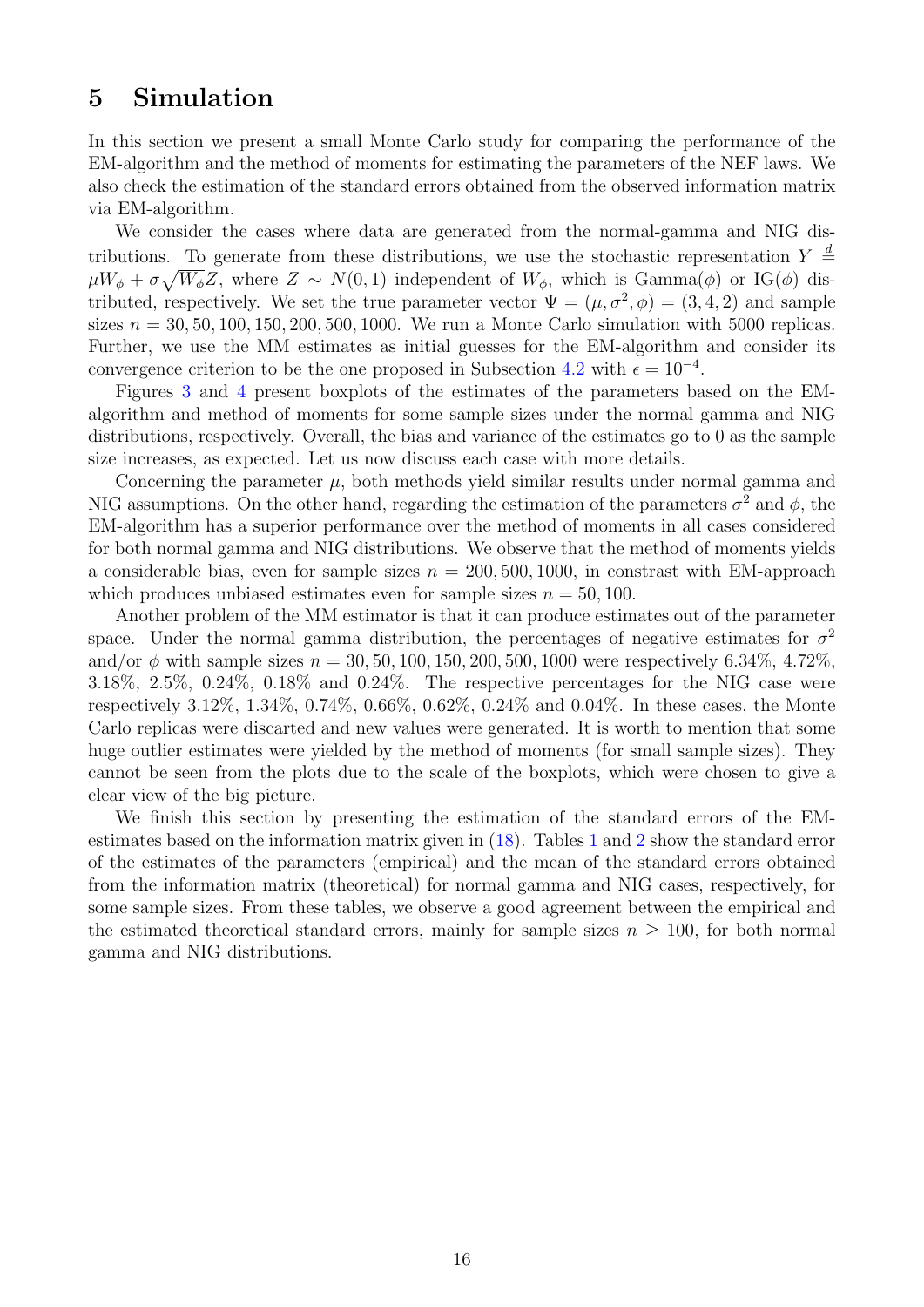### <span id="page-15-0"></span>5 Simulation

In this section we present a small Monte Carlo study for comparing the performance of the EM-algorithm and the method of moments for estimating the parameters of the NEF laws. We also check the estimation of the standard errors obtained from the observed information matrix via EM-algorithm.

We consider the cases where data are generated from the normal-gamma and NIG distributions. To generate from these distributions, we use the stochastic representation  $Y \stackrel{d}{=}$  $\mu W_\phi + \sigma \sqrt{W_\phi} Z$ , where  $Z \sim N(0, 1)$  independent of  $W_\phi$ , which is  $\text{Gamma}(\phi)$  or  $\text{IG}(\phi)$  distributed, respectively. We set the true parameter vector  $\Psi = (\mu, \sigma^2, \phi) = (3, 4, 2)$  and sample sizes  $n = 30, 50, 100, 150, 200, 500, 1000$ . We run a Monte Carlo simulation with 5000 replicas. Further, we use the MM estimates as initial guesses for the EM-algorithm and consider its convergence criterion to be the one proposed in Subsection [4.2](#page-11-0) with  $\epsilon = 10^{-4}$ .

Figures [3](#page-16-0) and [4](#page-17-0) present boxplots of the estimates of the parameters based on the EMalgorithm and method of moments for some sample sizes under the normal gamma and NIG distributions, respectively. Overall, the bias and variance of the estimates go to 0 as the sample size increases, as expected. Let us now discuss each case with more details.

Concerning the parameter  $\mu$ , both methods yield similar results under normal gamma and NIG assumptions. On the other hand, regarding the estimation of the parameters  $\sigma^2$  and  $\phi$ , the EM-algorithm has a superior performance over the method of moments in all cases considered for both normal gamma and NIG distributions. We observe that the method of moments yields a considerable bias, even for sample sizes  $n = 200, 500, 1000$ , in constrast with EM-approach which produces unbiased estimates even for sample sizes  $n = 50, 100$ .

Another problem of the MM estimator is that it can produce estimates out of the parameter space. Under the normal gamma distribution, the percentages of negative estimates for  $\sigma^2$ and/or  $\phi$  with sample sizes  $n = 30, 50, 100, 150, 200, 500, 1000$  were respectively 6.34%, 4.72%. 3.18%, 2.5%, 0.24%, 0.18% and 0.24%. The respective percentages for the NIG case were respectively 3.12%, 1.34%, 0.74%, 0.66%, 0.62%, 0.24% and 0.04%. In these cases, the Monte Carlo replicas were discarted and new values were generated. It is worth to mention that some huge outlier estimates were yielded by the method of moments (for small sample sizes). They cannot be seen from the plots due to the scale of the boxplots, which were chosen to give a clear view of the big picture.

We finish this section by presenting the estimation of the standard errors of the EMestimates based on the information matrix given in [\(18\)](#page-14-0). Tables [1](#page-18-1) and [2](#page-18-2) show the standard error of the estimates of the parameters (empirical) and the mean of the standard errors obtained from the information matrix (theoretical) for normal gamma and NIG cases, respectively, for some sample sizes. From these tables, we observe a good agreement between the empirical and the estimated theoretical standard errors, mainly for sample sizes  $n \geq 100$ , for both normal gamma and NIG distributions.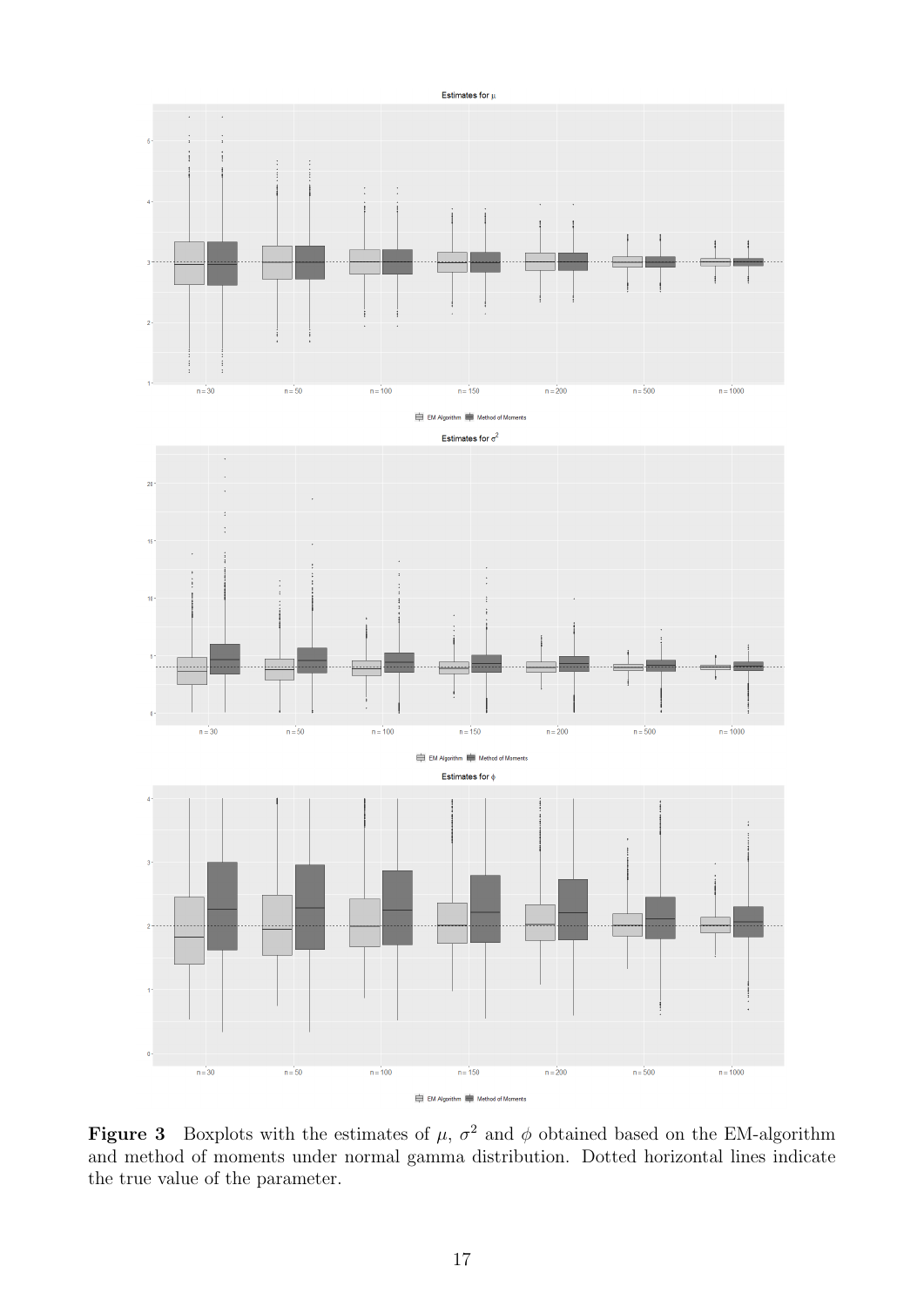<span id="page-16-0"></span>

Figure 3 Boxplots with the estimates of  $\mu$ ,  $\sigma^2$  and  $\phi$  obtained based on the EM-algorithm and method of moments under normal gamma distribution. Dotted horizontal lines indicate the true value of the parameter.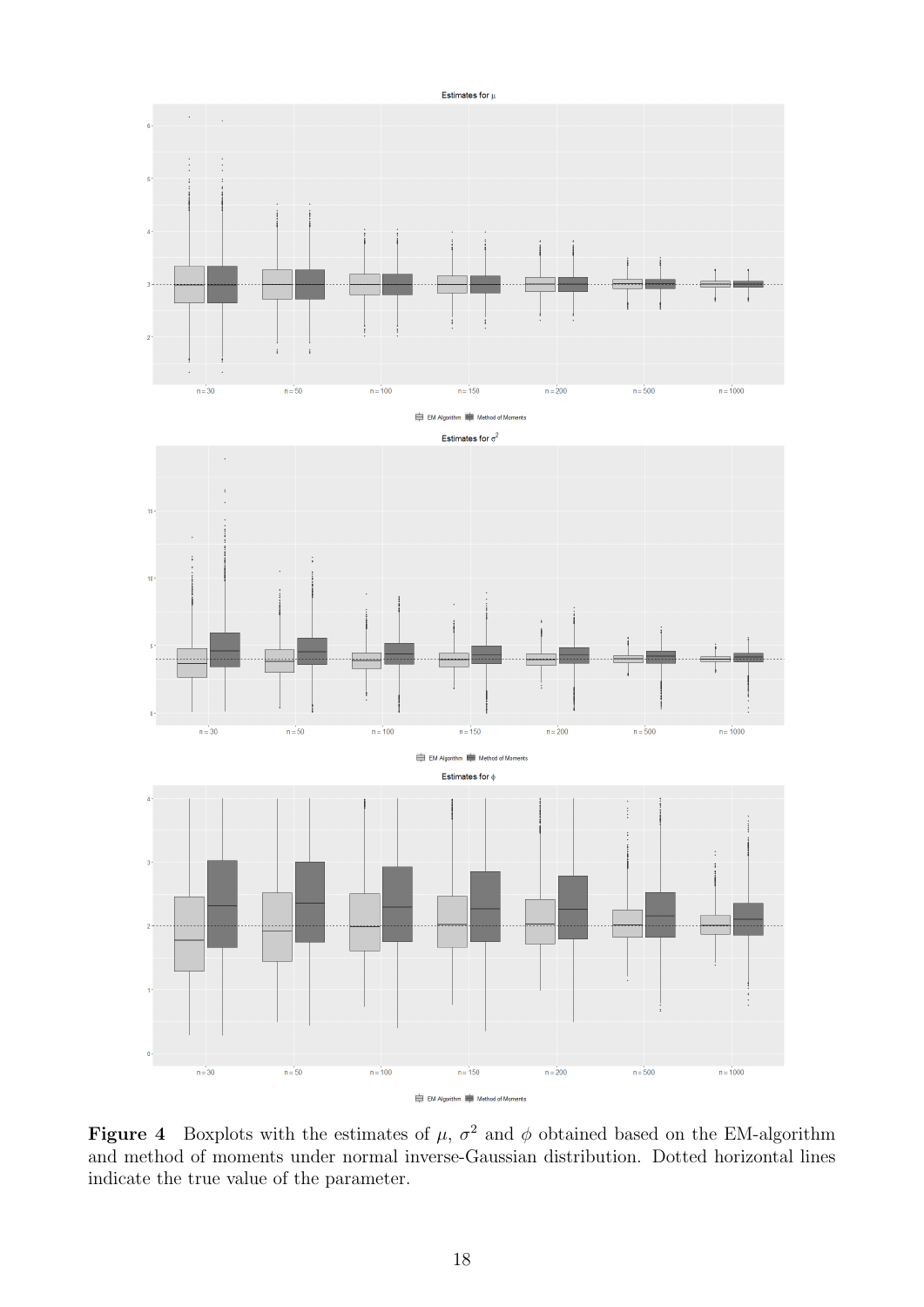<span id="page-17-0"></span>

Figure 4 Boxplots with the estimates of  $\mu$ ,  $\sigma^2$  and  $\phi$  obtained based on the EM-algorithm and method of moments under normal inverse-Gaussian distribution. Dotted horizontal lines indicate the true value of the parameter.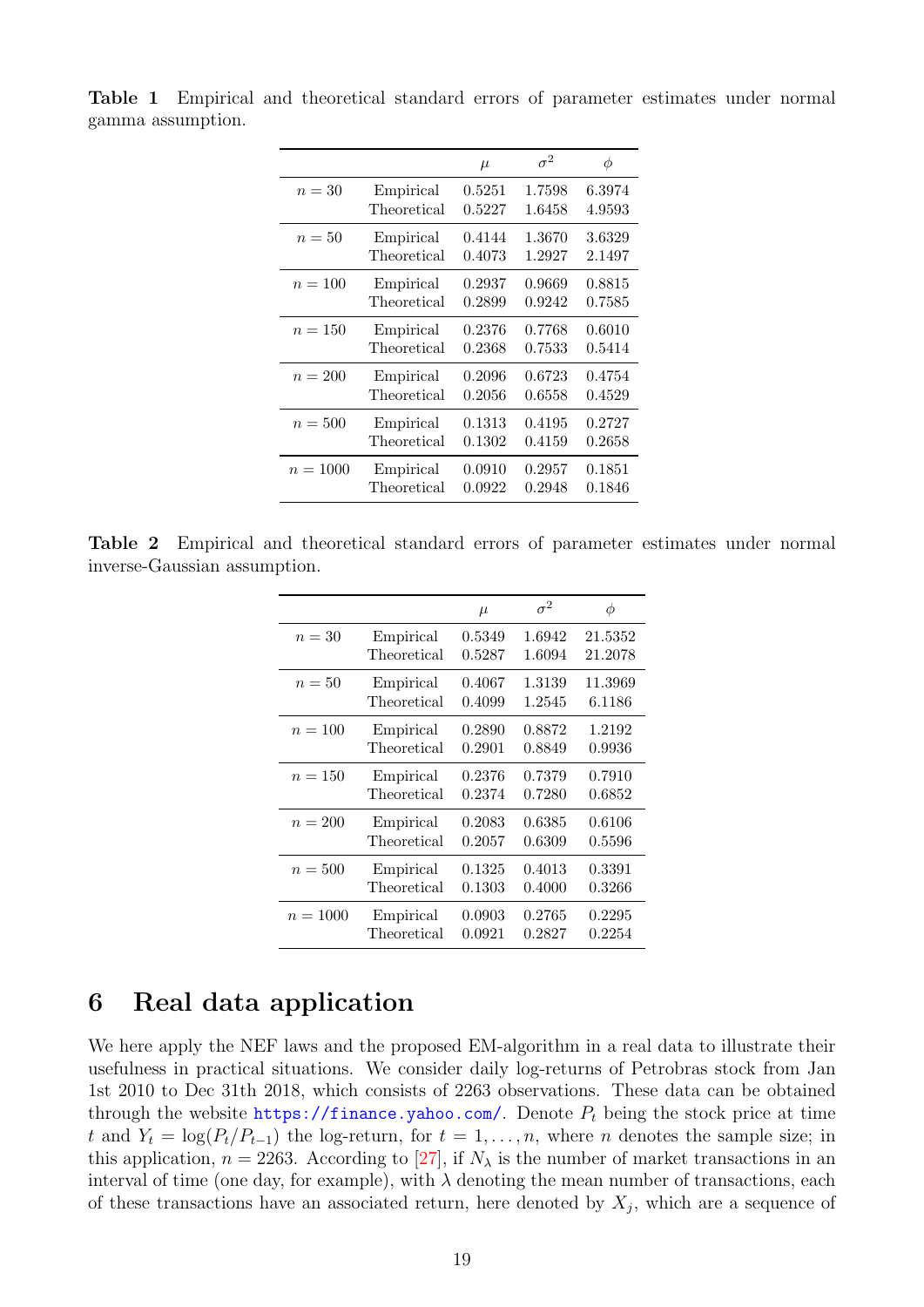|            |             | $\mu$  | $\sigma^2$ | φ      |
|------------|-------------|--------|------------|--------|
| $n=30$     | Empirical   | 0.5251 | 1.7598     | 6.3974 |
|            | Theoretical | 0.5227 | 1.6458     | 4.9593 |
| $n=50$     | Empirical   | 0.4144 | 1.3670     | 3.6329 |
|            | Theoretical | 0.4073 | 1.2927     | 2.1497 |
| $n=100$    | Empirical   | 0.2937 | 0.9669     | 0.8815 |
|            | Theoretical | 0.2899 | 0.9242     | 0.7585 |
| $n = 150$  | Empirical   | 0.2376 | 0.7768     | 0.6010 |
|            | Theoretical | 0.2368 | 0.7533     | 0.5414 |
| $n = 200$  | Empirical   | 0.2096 | 0.6723     | 0.4754 |
|            | Theoretical | 0.2056 | 0.6558     | 0.4529 |
| $n=500$    | Empirical   | 0.1313 | 0.4195     | 0.2727 |
|            | Theoretical | 0.1302 | 0.4159     | 0.2658 |
| $n = 1000$ | Empirical   | 0.0910 | 0.2957     | 0.1851 |
|            | Theoretical | 0.0922 | 0.2948     | 0.1846 |

<span id="page-18-1"></span>Table 1 Empirical and theoretical standard errors of parameter estimates under normal gamma assumption.

<span id="page-18-2"></span>Table 2 Empirical and theoretical standard errors of parameter estimates under normal inverse-Gaussian assumption.

|            |             | $\mu$  | $\sigma^2$ | φ       |
|------------|-------------|--------|------------|---------|
| $n=30$     | Empirical   | 0.5349 | 1.6942     | 21.5352 |
|            | Theoretical | 0.5287 | 1.6094     | 21.2078 |
| $n=50$     | Empirical   | 0.4067 | 1.3139     | 11.3969 |
|            | Theoretical | 0.4099 | 1.2545     | 6.1186  |
| $n = 100$  | Empirical   | 0.2890 | 0.8872     | 1.2192  |
|            | Theoretical | 0.2901 | 0.8849     | 0.9936  |
| $n = 150$  | Empirical   | 0.2376 | 0.7379     | 0.7910  |
|            | Theoretical | 0.2374 | 0.7280     | 0.6852  |
| $n = 200$  | Empirical   | 0.2083 | 0.6385     | 0.6106  |
|            | Theoretical | 0.2057 | 0.6309     | 0.5596  |
| $n=500$    | Empirical   | 0.1325 | 0.4013     | 0.3391  |
|            | Theoretical | 0.1303 | 0.4000     | 0.3266  |
| $n = 1000$ | Empirical   | 0.0903 | 0.2765     | 0.2295  |
|            | Theoretical | 0.0921 | 0.2827     | 0.2254  |

### <span id="page-18-0"></span>6 Real data application

We here apply the NEF laws and the proposed EM-algorithm in a real data to illustrate their usefulness in practical situations. We consider daily log-returns of Petrobras stock from Jan 1st 2010 to Dec 31th 2018, which consists of 2263 observations. These data can be obtained through the website <https://finance.yahoo.com/>. Denote  $P_t$  being the stock price at time t and  $Y_t = \log(P_t/P_{t-1})$  the log-return, for  $t = 1, \ldots, n$ , where n denotes the sample size; in this application,  $n = 2263$ . According to [\[27\]](#page-21-12), if  $N_{\lambda}$  is the number of market transactions in an interval of time (one day, for example), with  $\lambda$  denoting the mean number of transactions, each of these transactions have an associated return, here denoted by  $X_j$ , which are a sequence of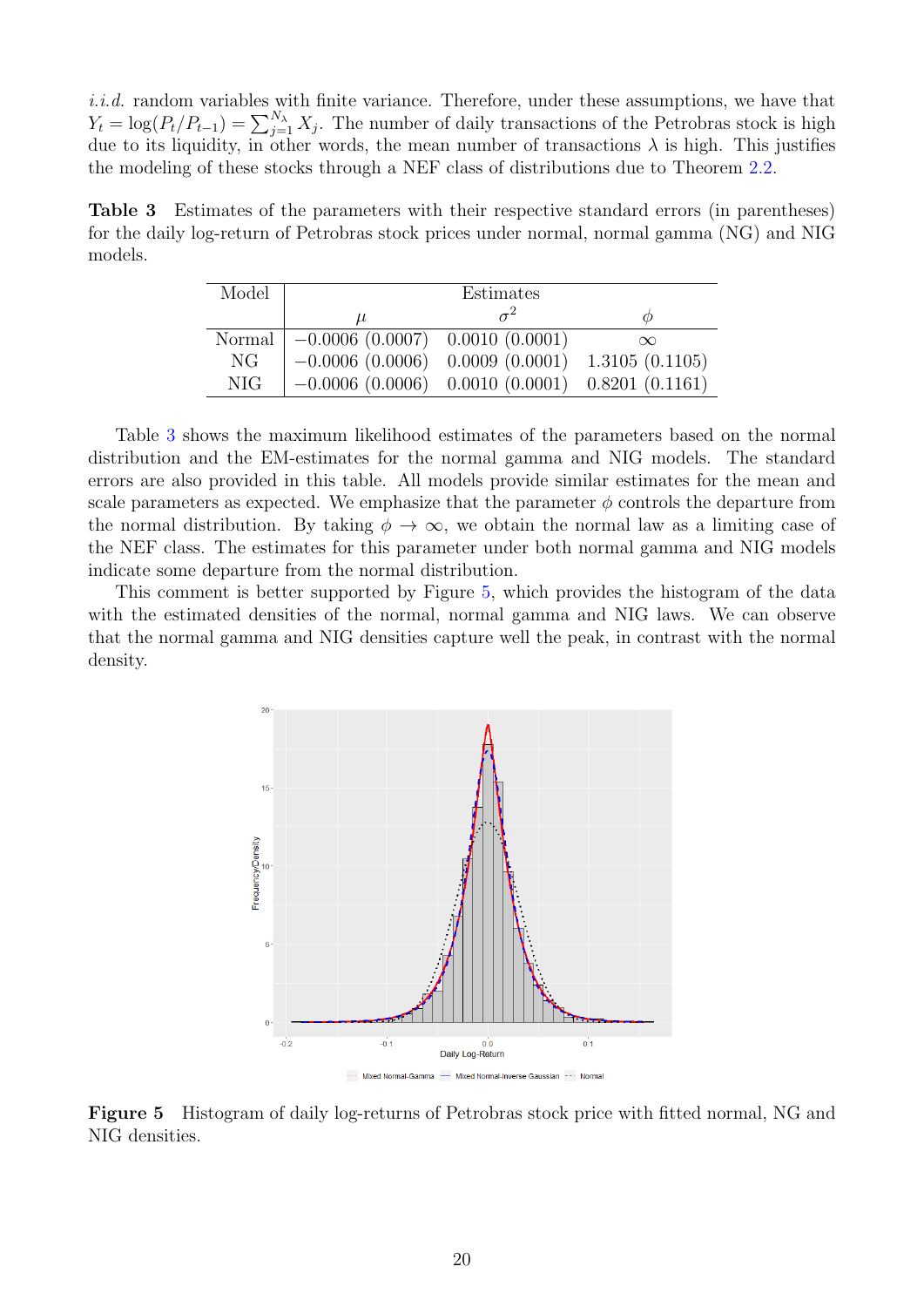i.i.d. random variables with finite variance. Therefore, under these assumptions, we have that  $Y_t = \log(P_t/P_{t-1}) = \sum_{j=1}^{N_{\lambda}} X_j$ . The number of daily transactions of the Petrobras stock is high due to its liquidity, in other words, the mean number of transactions  $\lambda$  is high. This justifies the modeling of these stocks through a NEF class of distributions due to Theorem [2.2.](#page-3-3)

<span id="page-19-0"></span>Table 3 Estimates of the parameters with their respective standard errors (in parentheses) for the daily log-return of Petrobras stock prices under normal, normal gamma (NG) and NIG models.

| Model      |                                                    | Estimates |                |
|------------|----------------------------------------------------|-----------|----------------|
|            | $\mu$                                              |           |                |
| Normal     | $-0.0006(0.0007)$ 0.0010 (0.0001)                  |           | $\infty$       |
| NG.        | $-0.0006(0.0006)$ 0.0009 (0.0001)                  |           | 1.3105(0.1105) |
| <b>NIG</b> | $-0.0006$ (0.0006) 0.0010 (0.0001) 0.8201 (0.1161) |           |                |

Table [3](#page-19-0) shows the maximum likelihood estimates of the parameters based on the normal distribution and the EM-estimates for the normal gamma and NIG models. The standard errors are also provided in this table. All models provide similar estimates for the mean and scale parameters as expected. We emphasize that the parameter  $\phi$  controls the departure from the normal distribution. By taking  $\phi \to \infty$ , we obtain the normal law as a limiting case of the NEF class. The estimates for this parameter under both normal gamma and NIG models indicate some departure from the normal distribution.

<span id="page-19-1"></span>This comment is better supported by Figure [5,](#page-19-1) which provides the histogram of the data with the estimated densities of the normal, normal gamma and NIG laws. We can observe that the normal gamma and NIG densities capture well the peak, in contrast with the normal density.



Mixed Normal-Gamma - Mixed Normal-Inverse Gaussian --- Norma

Figure 5 Histogram of daily log-returns of Petrobras stock price with fitted normal, NG and NIG densities.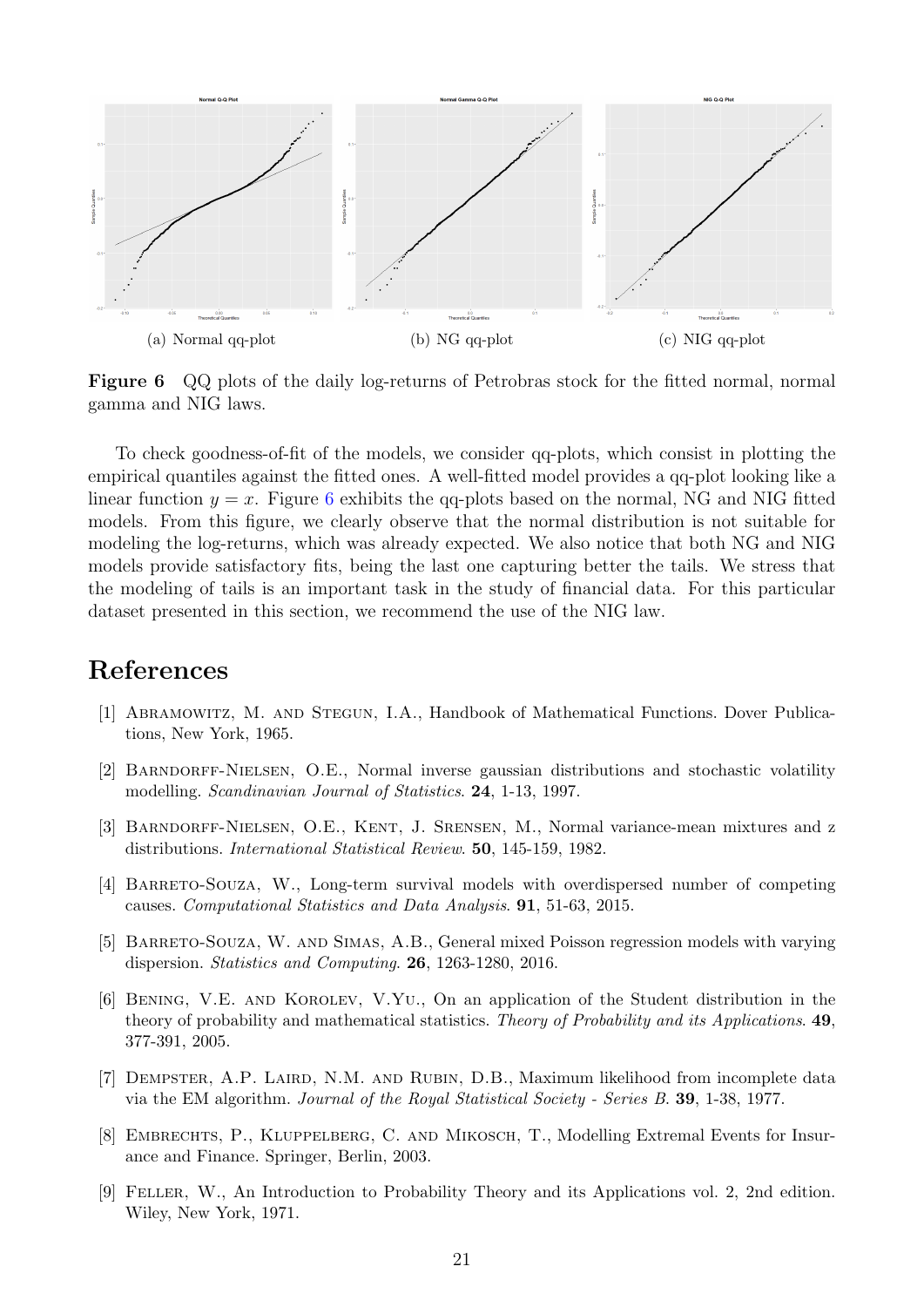<span id="page-20-9"></span>

Figure 6 QQ plots of the daily log-returns of Petrobras stock for the fitted normal, normal gamma and NIG laws.

To check goodness-of-fit of the models, we consider qq-plots, which consist in plotting the empirical quantiles against the fitted ones. A well-fitted model provides a qq-plot looking like a linear function  $y = x$ . Figure [6](#page-20-9) exhibits the qq-plots based on the normal, NG and NIG fitted models. From this figure, we clearly observe that the normal distribution is not suitable for modeling the log-returns, which was already expected. We also notice that both NG and NIG models provide satisfactory fits, being the last one capturing better the tails. We stress that the modeling of tails is an important task in the study of financial data. For this particular dataset presented in this section, we recommend the use of the NIG law.

## References

- <span id="page-20-7"></span>[1] Abramowitz, M. and Stegun, I.A., Handbook of Mathematical Functions. Dover Publications, New York, 1965.
- <span id="page-20-4"></span>[2] Barndorff-Nielsen, O.E., Normal inverse gaussian distributions and stochastic volatility modelling. Scandinavian Journal of Statistics. 24, 1-13, 1997.
- <span id="page-20-8"></span>[3] Barndorff-Nielsen, O.E., Kent, J. Srensen, M., Normal variance-mean mixtures and z distributions. International Statistical Review. 50, 145-159, 1982.
- <span id="page-20-2"></span>[4] BARRETO-SOUZA, W., Long-term survival models with overdispersed number of competing causes. Computational Statistics and Data Analysis. 91, 51-63, 2015.
- <span id="page-20-3"></span>[5] Barreto-Souza, W. and Simas, A.B., General mixed Poisson regression models with varying dispersion. Statistics and Computing. 26, 1263-1280, 2016.
- <span id="page-20-1"></span>[6] Bening, V.E. and Korolev, V.Yu., On an application of the Student distribution in the theory of probability and mathematical statistics. Theory of Probability and its Applications. 49, 377-391, 2005.
- <span id="page-20-5"></span>[7] Dempster, A.P. Laird, N.M. and Rubin, D.B., Maximum likelihood from incomplete data via the EM algorithm. Journal of the Royal Statistical Society - Series B. 39, 1-38, 1977.
- <span id="page-20-0"></span>[8] EMBRECHTS, P., KLUPPELBERG, C. AND MIKOSCH, T., Modelling Extremal Events for Insurance and Finance. Springer, Berlin, 2003.
- <span id="page-20-6"></span>[9] Feller, W., An Introduction to Probability Theory and its Applications vol. 2, 2nd edition. Wiley, New York, 1971.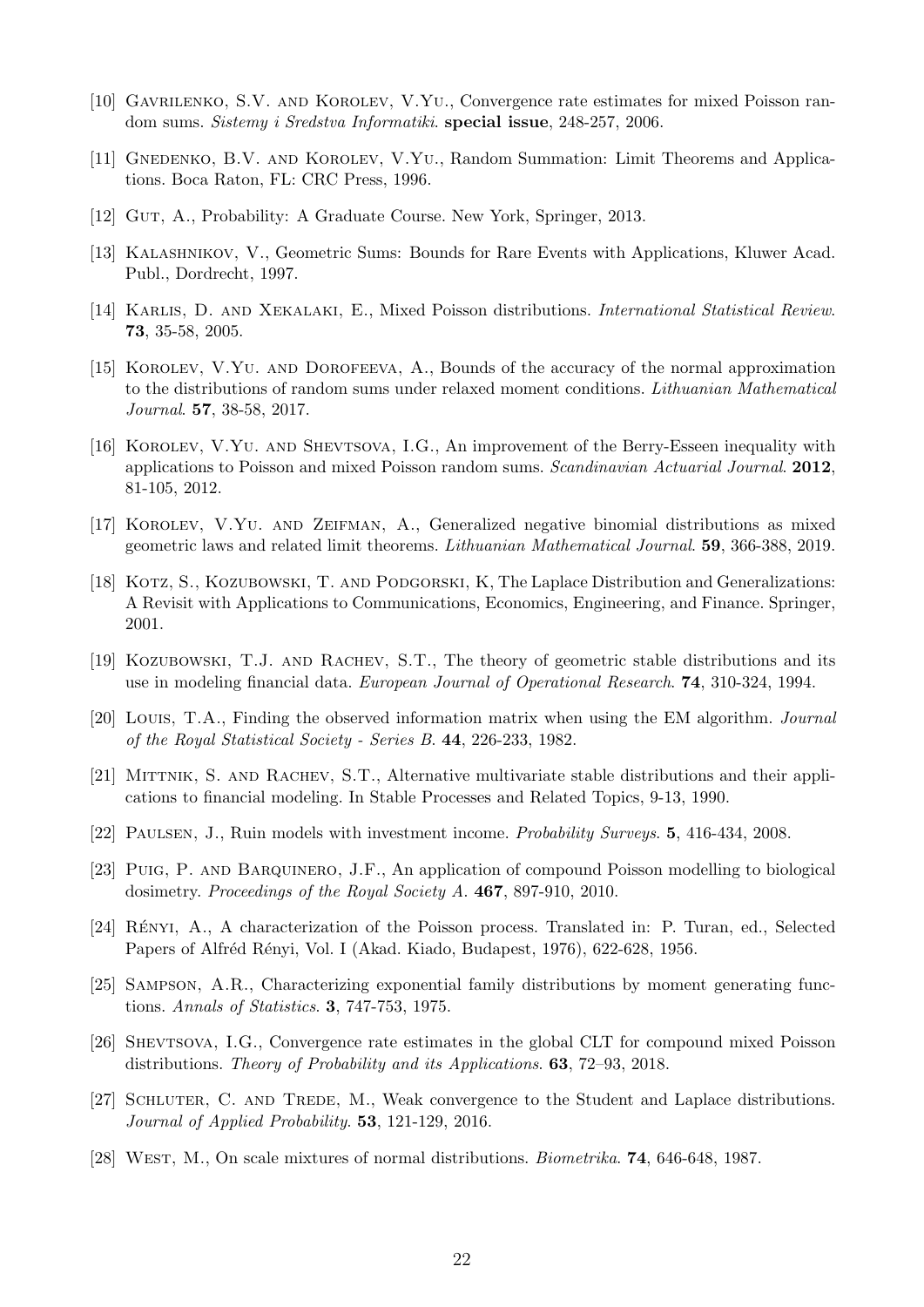- <span id="page-21-7"></span>[10] Gavrilenko, S.V. and Korolev, V.Yu., Convergence rate estimates for mixed Poisson random sums. Sistemy i Sredstva Informatiki. special issue, 248-257, 2006.
- <span id="page-21-0"></span>[11] GNEDENKO, B.V. AND KOROLEV, V.YU., Random Summation: Limit Theorems and Applications. Boca Raton, FL: CRC Press, 1996.
- <span id="page-21-17"></span>[12] Gut, A., Probability: A Graduate Course. New York, Springer, 2013.
- <span id="page-21-3"></span>[13] KALASHNIKOV, V., Geometric Sums: Bounds for Rare Events with Applications, Kluwer Acad. Publ., Dordrecht, 1997.
- <span id="page-21-6"></span>[14] Karlis, D. and Xekalaki, E., Mixed Poisson distributions. International Statistical Review. 73, 35-58, 2005.
- <span id="page-21-10"></span>[15] Korolev, V.Yu. and Dorofeeva, A., Bounds of the accuracy of the normal approximation to the distributions of random sums under relaxed moment conditions. Lithuanian Mathematical Journal. 57, 38-58, 2017.
- <span id="page-21-9"></span>[16] Korolev, V.Yu. and Shevtsova, I.G., An improvement of the Berry-Esseen inequality with applications to Poisson and mixed Poisson random sums. Scandinavian Actuarial Journal. 2012, 81-105, 2012.
- <span id="page-21-13"></span>[17] Korolev, V.Yu. and Zeifman, A., Generalized negative binomial distributions as mixed geometric laws and related limit theorems. Lithuanian Mathematical Journal. 59, 366-388, 2019.
- <span id="page-21-5"></span>[18] KOTZ, S., KOZUBOWSKI, T. AND PODGORSKI, K, The Laplace Distribution and Generalizations: A Revisit with Applications to Communications, Economics, Engineering, and Finance. Springer, 2001.
- <span id="page-21-14"></span>[19] KOZUBOWSKI, T.J. AND RACHEV, S.T., The theory of geometric stable distributions and its use in modeling financial data. European Journal of Operational Research. 74, 310-324, 1994.
- <span id="page-21-18"></span>[20] Louis, T.A., Finding the observed information matrix when using the EM algorithm. Journal of the Royal Statistical Society - Series B. 44, 226-233, 1982.
- <span id="page-21-15"></span>[21] MITTNIK, S. AND RACHEV, S.T., Alternative multivariate stable distributions and their applications to financial modeling. In Stable Processes and Related Topics, 9-13, 1990.
- <span id="page-21-1"></span>[22] Paulsen, J., Ruin models with investment income. Probability Surveys. 5, 416-434, 2008.
- <span id="page-21-2"></span>[23] Puig, P. and Barquinero, J.F., An application of compound Poisson modelling to biological dosimetry. Proceedings of the Royal Society A. 467, 897-910, 2010.
- <span id="page-21-4"></span>[24] RÉNYI, A., A characterization of the Poisson process. Translated in: P. Turan, ed., Selected Papers of Alfréd Rényi, Vol. I (Akad. Kiado, Budapest, 1976), 622-628, 1956.
- <span id="page-21-16"></span>[25] Sampson, A.R., Characterizing exponential family distributions by moment generating functions. Annals of Statistics. 3, 747-753, 1975.
- <span id="page-21-11"></span>[26] Shevtsova, I.G., Convergence rate estimates in the global CLT for compound mixed Poisson distributions. Theory of Probability and its Applications. 63, 72–93, 2018.
- <span id="page-21-12"></span>[27] SCHLUTER, C. AND TREDE, M., Weak convergence to the Student and Laplace distributions. Journal of Applied Probability. **53**, 121-129, 2016.
- <span id="page-21-8"></span>[28] West, M., On scale mixtures of normal distributions. Biometrika. 74, 646-648, 1987.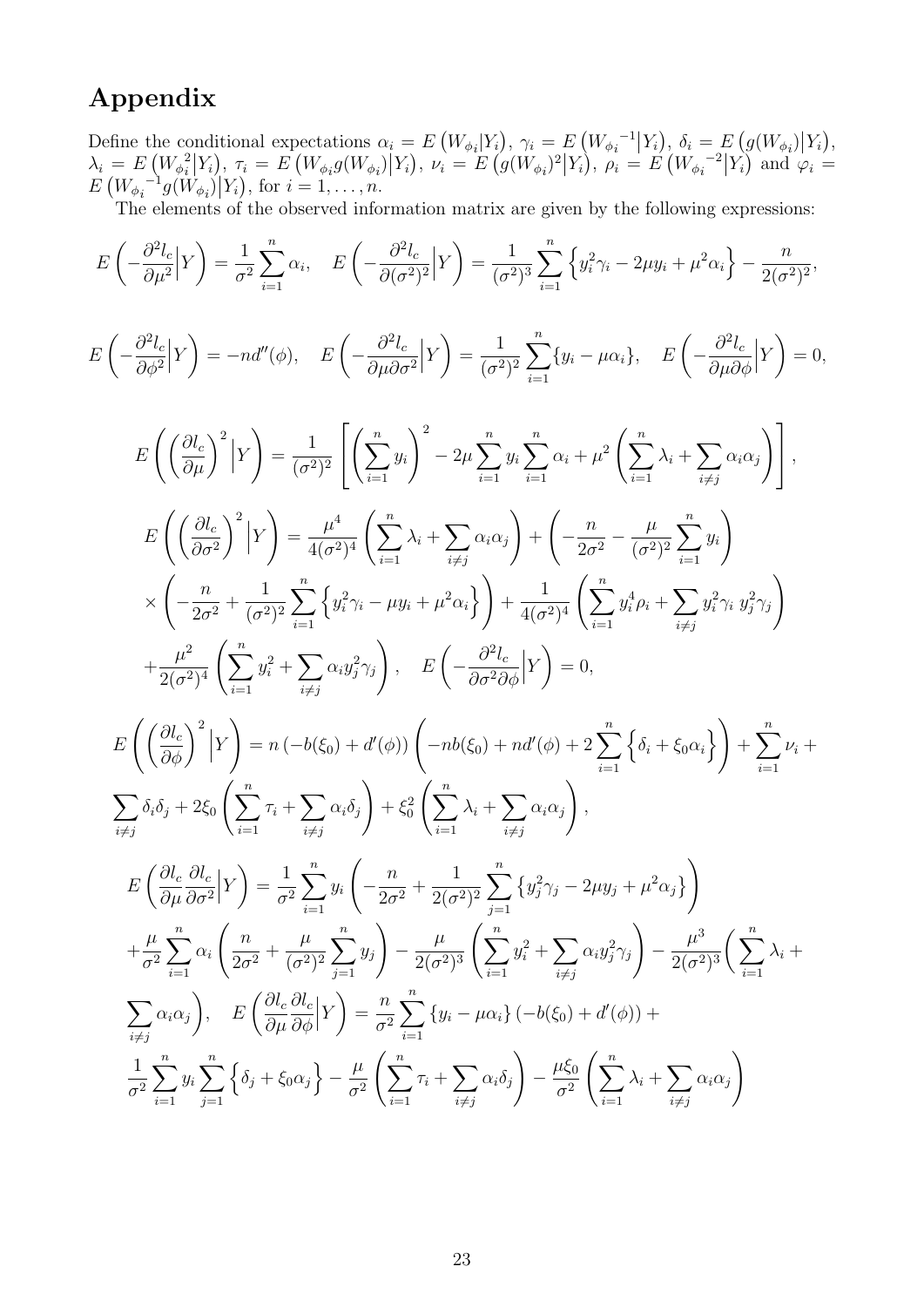## Appendix

Define the conditional expectations  $\alpha_i = E\left(W_{\phi_i}|Y_i\right), \gamma_i = E\left(W_{\phi_i}^{-1}|Y_i\right), \delta_i = E\left(g(W_{\phi_i})|Y_i\right),$  $\lambda_i = E\left(W_{\phi_i}^2\right)$  $\mathcal{L}^{2}[Y_i], \tau_i = E\left(W_{\phi_i}g(W_{\phi_i})|Y_i\right), \nu_i = E\left(g(W_{\phi_i})^2|Y_i\right), \rho_i = E\left(W_{\phi_i}^{-2}|Y_i\right) \text{ and } \varphi_i = \mathcal{L}^{2}[Y_i]$  $E\left(W_{\phi_i}^{-1}g(W_{\phi_i})\big| Y_i\right)$ , for  $i=1,\ldots,n$ .

The elements of the observed information matrix are given by the following expressions:

$$
E\left(-\frac{\partial^2 l_c}{\partial \mu^2} |Y\right) = \frac{1}{\sigma^2} \sum_{i=1}^n \alpha_i, \quad E\left(-\frac{\partial^2 l_c}{\partial (\sigma^2)^2} |Y\right) = \frac{1}{(\sigma^2)^3} \sum_{i=1}^n \left\{ y_i^2 \gamma_i - 2\mu y_i + \mu^2 \alpha_i \right\} - \frac{n}{2(\sigma^2)^2},
$$
  
\n
$$
E\left(-\frac{\partial^2 l_c}{\partial \phi^2} |Y\right) = -n d''(\phi), \quad E\left(-\frac{\partial^2 l_c}{\partial \mu \partial \sigma^2} |Y\right) = \frac{1}{(\sigma^2)^2} \sum_{i=1}^n \left\{ y_i - \mu \alpha_i \right\}, \quad E\left(-\frac{\partial^2 l_c}{\partial \mu \partial \phi} |Y\right) = 0,
$$
  
\n
$$
E\left(\left(\frac{\partial l_c}{\partial \mu}\right)^2 |Y\right) = \frac{1}{(\sigma^2)^2} \left[\left(\sum_{i=1}^n y_i\right)^2 - 2\mu \sum_{i=1}^n y_i \sum_{i=1}^n \alpha_i + \mu^2 \left(\sum_{i=1}^n \lambda_i + \sum_{i \neq j} \alpha_i \alpha_j\right)\right],
$$
  
\n
$$
E\left(\left(\frac{\partial l_c}{\partial \sigma^2}\right)^2 |Y\right) = \frac{\mu^4}{4(\sigma^2)^4} \left(\sum_{i=1}^n \lambda_i + \sum_{i \neq j} \alpha_i \alpha_j\right) + \left(-\frac{n}{2\sigma^2} - \frac{\mu}{(\sigma^2)^2} \sum_{i=1}^n y_i\right)
$$
  
\n
$$
\times \left(-\frac{n}{2\sigma^2} + \frac{1}{(\sigma^2)^2} \sum_{i=1}^n \left\{y_i^2 \gamma_i - \mu y_i + \mu^2 \alpha_i\right\}\right) + \frac{1}{4(\sigma^2)^4} \left(\sum_{i=1}^n y_i^2 \rho_i + \sum_{i \neq j} y_i^2 \gamma_i y_j^2 \gamma_j\right)
$$
  
\n
$$
+ \frac{\mu^2}{2(\sigma^2)^4} \left(\sum_{i=1}^n y_i^2 + \sum_{i \neq j} \alpha_i y_j^2 \gamma_j\right), \quad E
$$